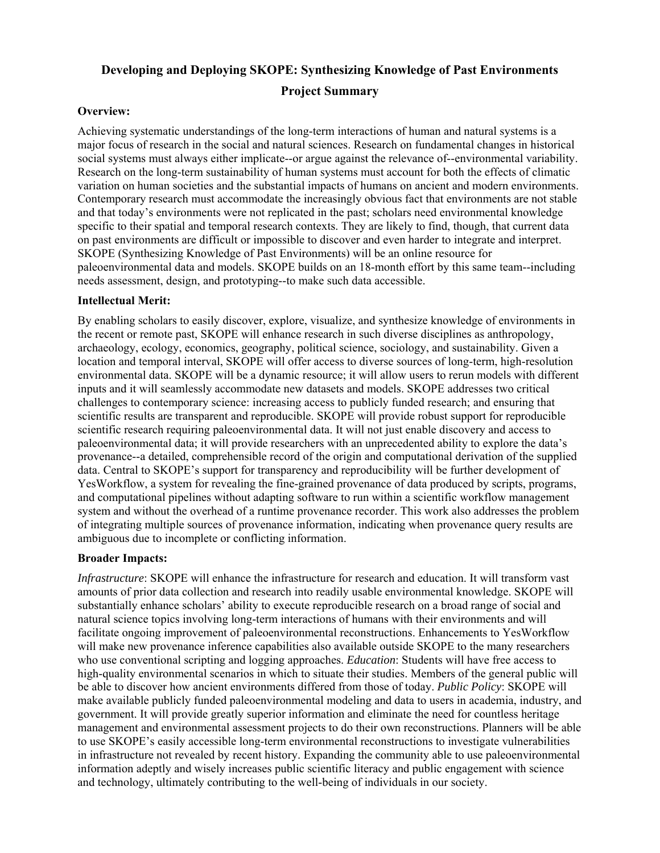# **Developing and Deploying SKOPE: Synthesizing Knowledge of Past Environments Project Summary**

#### **Overview:**

Achieving systematic understandings of the long-term interactions of human and natural systems is a major focus of research in the social and natural sciences. Research on fundamental changes in historical social systems must always either implicate--or argue against the relevance of--environmental variability. Research on the long-term sustainability of human systems must account for both the effects of climatic variation on human societies and the substantial impacts of humans on ancient and modern environments. Contemporary research must accommodate the increasingly obvious fact that environments are not stable and that today's environments were not replicated in the past; scholars need environmental knowledge specific to their spatial and temporal research contexts. They are likely to find, though, that current data on past environments are difficult or impossible to discover and even harder to integrate and interpret. SKOPE (Synthesizing Knowledge of Past Environments) will be an online resource for paleoenvironmental data and models. SKOPE builds on an 18-month effort by this same team--including needs assessment, design, and prototyping--to make such data accessible.

#### **Intellectual Merit:**

By enabling scholars to easily discover, explore, visualize, and synthesize knowledge of environments in the recent or remote past, SKOPE will enhance research in such diverse disciplines as anthropology, archaeology, ecology, economics, geography, political science, sociology, and sustainability. Given a location and temporal interval, SKOPE will offer access to diverse sources of long-term, high-resolution environmental data. SKOPE will be a dynamic resource; it will allow users to rerun models with different inputs and it will seamlessly accommodate new datasets and models. SKOPE addresses two critical challenges to contemporary science: increasing access to publicly funded research; and ensuring that scientific results are transparent and reproducible. SKOPE will provide robust support for reproducible scientific research requiring paleoenvironmental data. It will not just enable discovery and access to paleoenvironmental data; it will provide researchers with an unprecedented ability to explore the data's provenance--a detailed, comprehensible record of the origin and computational derivation of the supplied data. Central to SKOPE's support for transparency and reproducibility will be further development of YesWorkflow, a system for revealing the fine-grained provenance of data produced by scripts, programs, and computational pipelines without adapting software to run within a scientific workflow management system and without the overhead of a runtime provenance recorder. This work also addresses the problem of integrating multiple sources of provenance information, indicating when provenance query results are ambiguous due to incomplete or conflicting information.

#### **Broader Impacts:**

*Infrastructure*: SKOPE will enhance the infrastructure for research and education. It will transform vast amounts of prior data collection and research into readily usable environmental knowledge. SKOPE will substantially enhance scholars' ability to execute reproducible research on a broad range of social and natural science topics involving long-term interactions of humans with their environments and will facilitate ongoing improvement of paleoenvironmental reconstructions. Enhancements to YesWorkflow will make new provenance inference capabilities also available outside SKOPE to the many researchers who use conventional scripting and logging approaches. *Education*: Students will have free access to high-quality environmental scenarios in which to situate their studies. Members of the general public will be able to discover how ancient environments differed from those of today. *Public Policy*: SKOPE will make available publicly funded paleoenvironmental modeling and data to users in academia, industry, and government. It will provide greatly superior information and eliminate the need for countless heritage management and environmental assessment projects to do their own reconstructions. Planners will be able to use SKOPE's easily accessible long-term environmental reconstructions to investigate vulnerabilities in infrastructure not revealed by recent history. Expanding the community able to use paleoenvironmental information adeptly and wisely increases public scientific literacy and public engagement with science and technology, ultimately contributing to the well-being of individuals in our society.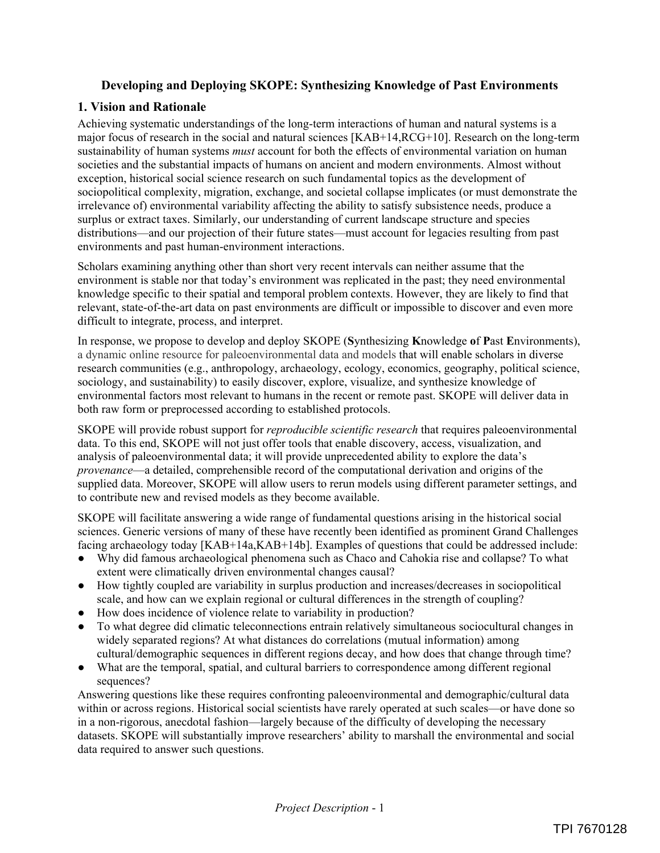## **Developing and Deploying SKOPE: Synthesizing Knowledge of Past Environments**

### **1. Vision and Rationale**

Achieving systematic understandings of the long-term interactions of human and natural systems is a major focus of research in the social and natural sciences [KAB+14,RCG+10]. Research on the long-term sustainability of human systems *must* account for both the effects of environmental variation on human societies and the substantial impacts of humans on ancient and modern environments. Almost without exception, historical social science research on such fundamental topics as the development of sociopolitical complexity, migration, exchange, and societal collapse implicates (or must demonstrate the irrelevance of) environmental variability affecting the ability to satisfy subsistence needs, produce a surplus or extract taxes. Similarly, our understanding of current landscape structure and species distributions—and our projection of their future states—must account for legacies resulting from past environments and past human-environment interactions.

Scholars examining anything other than short very recent intervals can neither assume that the environment is stable nor that today's environment was replicated in the past; they need environmental knowledge specific to their spatial and temporal problem contexts. However, they are likely to find that relevant, state-of-the-art data on past environments are difficult or impossible to discover and even more difficult to integrate, process, and interpret.

In response, we propose to develop and deploy SKOPE (**S**ynthesizing **K**nowledge **o**f **P**ast **E**nvironments), a dynamic online resource for paleoenvironmental data and models that will enable scholars in diverse research communities (e.g., anthropology, archaeology, ecology, economics, geography, political science, sociology, and sustainability) to easily discover, explore, visualize, and synthesize knowledge of environmental factors most relevant to humans in the recent or remote past. SKOPE will deliver data in both raw form or preprocessed according to established protocols.

SKOPE will provide robust support for *reproducible scientific research* that requires paleoenvironmental data. To this end, SKOPE will not just offer tools that enable discovery, access, visualization, and analysis of paleoenvironmental data; it will provide unprecedented ability to explore the data's *provenance*—a detailed, comprehensible record of the computational derivation and origins of the supplied data. Moreover, SKOPE will allow users to rerun models using different parameter settings, and to contribute new and revised models as they become available.

SKOPE will facilitate answering a wide range of fundamental questions arising in the historical social sciences. Generic versions of many of these have recently been identified as prominent Grand Challenges facing archaeology today [KAB+14a,KAB+14b]. Examples of questions that could be addressed include:

- Ɣ Why did famous archaeological phenomena such as Chaco and Cahokia rise and collapse? To what extent were climatically driven environmental changes causal?
- Ɣ How tightly coupled are variability in surplus production and increases/decreases in sociopolitical scale, and how can we explain regional or cultural differences in the strength of coupling?
- How does incidence of violence relate to variability in production?
- Ɣ To what degree did climatic teleconnections entrain relatively simultaneous sociocultural changes in widely separated regions? At what distances do correlations (mutual information) among cultural/demographic sequences in different regions decay, and how does that change through time?
- Ɣ What are the temporal, spatial, and cultural barriers to correspondence among different regional sequences?

Answering questions like these requires confronting paleoenvironmental and demographic/cultural data within or across regions. Historical social scientists have rarely operated at such scales—or have done so in a non-rigorous, anecdotal fashion—largely because of the difficulty of developing the necessary datasets. SKOPE will substantially improve researchers' ability to marshall the environmental and social data required to answer such questions.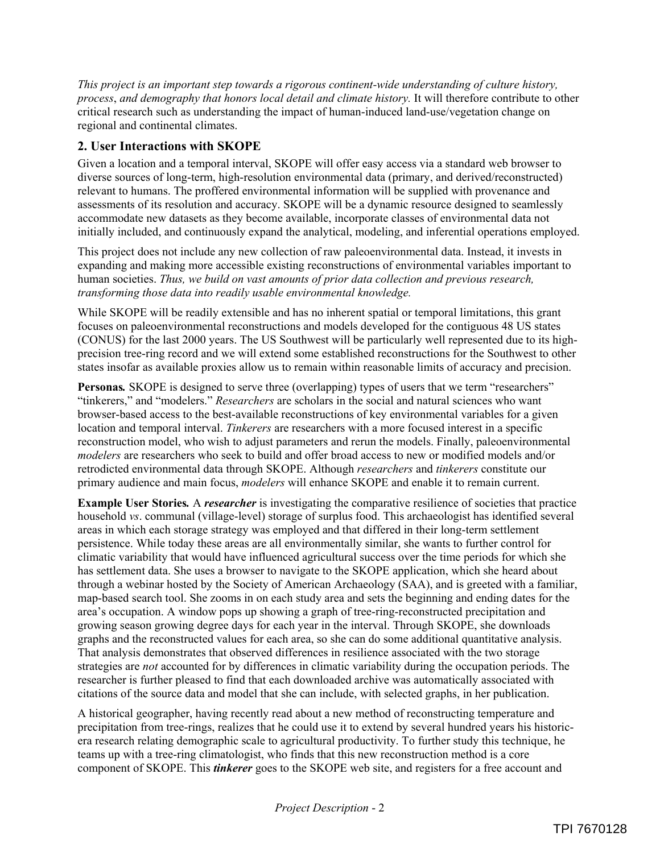*This project is an important step towards a rigorous continent-wide understanding of culture history, process*, *and demography that honors local detail and climate history.* It will therefore contribute to other critical research such as understanding the impact of human-induced land-use/vegetation change on regional and continental climates.

# **2. User Interactions with SKOPE**

Given a location and a temporal interval, SKOPE will offer easy access via a standard web browser to diverse sources of long-term, high-resolution environmental data (primary, and derived/reconstructed) relevant to humans. The proffered environmental information will be supplied with provenance and assessments of its resolution and accuracy. SKOPE will be a dynamic resource designed to seamlessly accommodate new datasets as they become available, incorporate classes of environmental data not initially included, and continuously expand the analytical, modeling, and inferential operations employed.

This project does not include any new collection of raw paleoenvironmental data. Instead, it invests in expanding and making more accessible existing reconstructions of environmental variables important to human societies. *Thus, we build on vast amounts of prior data collection and previous research, transforming those data into readily usable environmental knowledge.*

While SKOPE will be readily extensible and has no inherent spatial or temporal limitations, this grant focuses on paleoenvironmental reconstructions and models developed for the contiguous 48 US states (CONUS) for the last 2000 years. The US Southwest will be particularly well represented due to its highprecision tree-ring record and we will extend some established reconstructions for the Southwest to other states insofar as available proxies allow us to remain within reasonable limits of accuracy and precision.

**Personas***.* SKOPE is designed to serve three (overlapping) types of users that we term "researchers" "tinkerers," and "modelers." *Researchers* are scholars in the social and natural sciences who want browser-based access to the best-available reconstructions of key environmental variables for a given location and temporal interval. *Tinkerers* are researchers with a more focused interest in a specific reconstruction model, who wish to adjust parameters and rerun the models. Finally, paleoenvironmental *modelers* are researchers who seek to build and offer broad access to new or modified models and/or retrodicted environmental data through SKOPE. Although *researchers* and *tinkerers* constitute our primary audience and main focus, *modelers* will enhance SKOPE and enable it to remain current.

**Example User Stories***.* A *researcher* is investigating the comparative resilience of societies that practice household *vs*. communal (village-level) storage of surplus food. This archaeologist has identified several areas in which each storage strategy was employed and that differed in their long-term settlement persistence. While today these areas are all environmentally similar, she wants to further control for climatic variability that would have influenced agricultural success over the time periods for which she has settlement data. She uses a browser to navigate to the SKOPE application, which she heard about through a webinar hosted by the Society of American Archaeology (SAA), and is greeted with a familiar, map-based search tool. She zooms in on each study area and sets the beginning and ending dates for the area's occupation. A window pops up showing a graph of tree-ring-reconstructed precipitation and growing season growing degree days for each year in the interval. Through SKOPE, she downloads graphs and the reconstructed values for each area, so she can do some additional quantitative analysis. That analysis demonstrates that observed differences in resilience associated with the two storage strategies are *not* accounted for by differences in climatic variability during the occupation periods. The researcher is further pleased to find that each downloaded archive was automatically associated with citations of the source data and model that she can include, with selected graphs, in her publication.

A historical geographer, having recently read about a new method of reconstructing temperature and precipitation from tree-rings, realizes that he could use it to extend by several hundred years his historicera research relating demographic scale to agricultural productivity. To further study this technique, he teams up with a tree-ring climatologist, who finds that this new reconstruction method is a core component of SKOPE. This *tinkerer* goes to the SKOPE web site, and registers for a free account and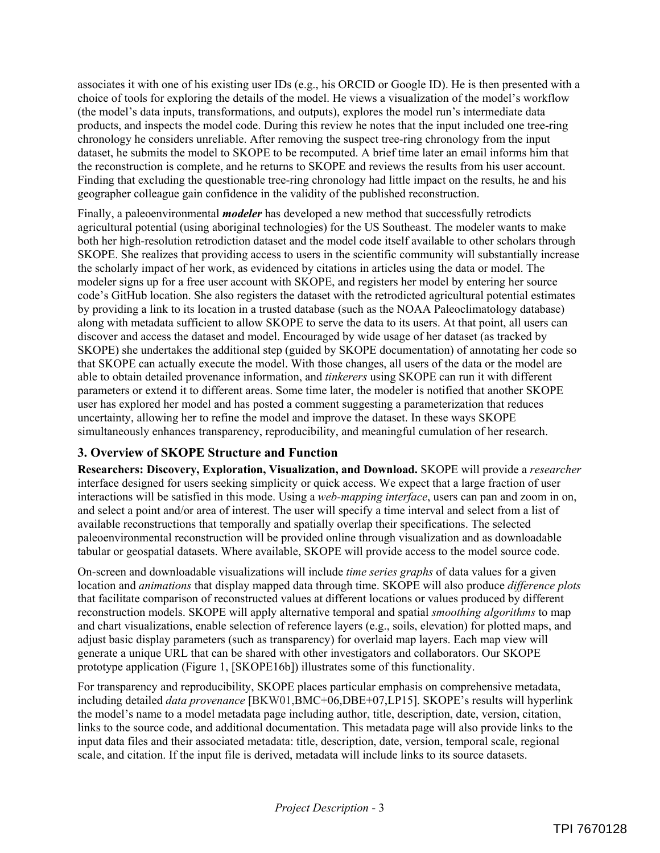associates it with one of his existing user IDs (e.g., his ORCID or Google ID). He is then presented with a choice of tools for exploring the details of the model. He views a visualization of the model's workflow (the model's data inputs, transformations, and outputs), explores the model run's intermediate data products, and inspects the model code. During this review he notes that the input included one tree-ring chronology he considers unreliable. After removing the suspect tree-ring chronology from the input dataset, he submits the model to SKOPE to be recomputed. A brief time later an email informs him that the reconstruction is complete, and he returns to SKOPE and reviews the results from his user account. Finding that excluding the questionable tree-ring chronology had little impact on the results, he and his geographer colleague gain confidence in the validity of the published reconstruction.

Finally, a paleoenvironmental *modeler* has developed a new method that successfully retrodicts agricultural potential (using aboriginal technologies) for the US Southeast. The modeler wants to make both her high-resolution retrodiction dataset and the model code itself available to other scholars through SKOPE. She realizes that providing access to users in the scientific community will substantially increase the scholarly impact of her work, as evidenced by citations in articles using the data or model. The modeler signs up for a free user account with SKOPE, and registers her model by entering her source code's GitHub location. She also registers the dataset with the retrodicted agricultural potential estimates by providing a link to its location in a trusted database (such as the NOAA Paleoclimatology database) along with metadata sufficient to allow SKOPE to serve the data to its users. At that point, all users can discover and access the dataset and model. Encouraged by wide usage of her dataset (as tracked by SKOPE) she undertakes the additional step (guided by SKOPE documentation) of annotating her code so that SKOPE can actually execute the model. With those changes, all users of the data or the model are able to obtain detailed provenance information, and *tinkerers* using SKOPE can run it with different parameters or extend it to different areas. Some time later, the modeler is notified that another SKOPE user has explored her model and has posted a comment suggesting a parameterization that reduces uncertainty, allowing her to refine the model and improve the dataset. In these ways SKOPE simultaneously enhances transparency, reproducibility, and meaningful cumulation of her research.

# **3. Overview of SKOPE Structure and Function**

**Researchers: Discovery, Exploration, Visualization, and Download.** SKOPE will provide a *researcher*  interface designed for users seeking simplicity or quick access. We expect that a large fraction of user interactions will be satisfied in this mode. Using a *web-mapping interface*, users can pan and zoom in on, and select a point and/or area of interest. The user will specify a time interval and select from a list of available reconstructions that temporally and spatially overlap their specifications. The selected paleoenvironmental reconstruction will be provided online through visualization and as downloadable tabular or geospatial datasets. Where available, SKOPE will provide access to the model source code.

On-screen and downloadable visualizations will include *time series graphs* of data values for a given location and *animations* that display mapped data through time. SKOPE will also produce *difference plots* that facilitate comparison of reconstructed values at different locations or values produced by different reconstruction models. SKOPE will apply alternative temporal and spatial *smoothing algorithms* to map and chart visualizations, enable selection of reference layers (e.g., soils, elevation) for plotted maps, and adjust basic display parameters (such as transparency) for overlaid map layers. Each map view will generate a unique URL that can be shared with other investigators and collaborators. Our SKOPE prototype application (Figure 1, [SKOPE16b]) illustrates some of this functionality.

For transparency and reproducibility, SKOPE places particular emphasis on comprehensive metadata, including detailed *data provenance* [BKW01,BMC+06,DBE+07,LP15]. SKOPE's results will hyperlink the model's name to a model metadata page including author, title, description, date, version, citation, links to the source code, and additional documentation. This metadata page will also provide links to the input data files and their associated metadata: title, description, date, version, temporal scale, regional scale, and citation. If the input file is derived, metadata will include links to its source datasets.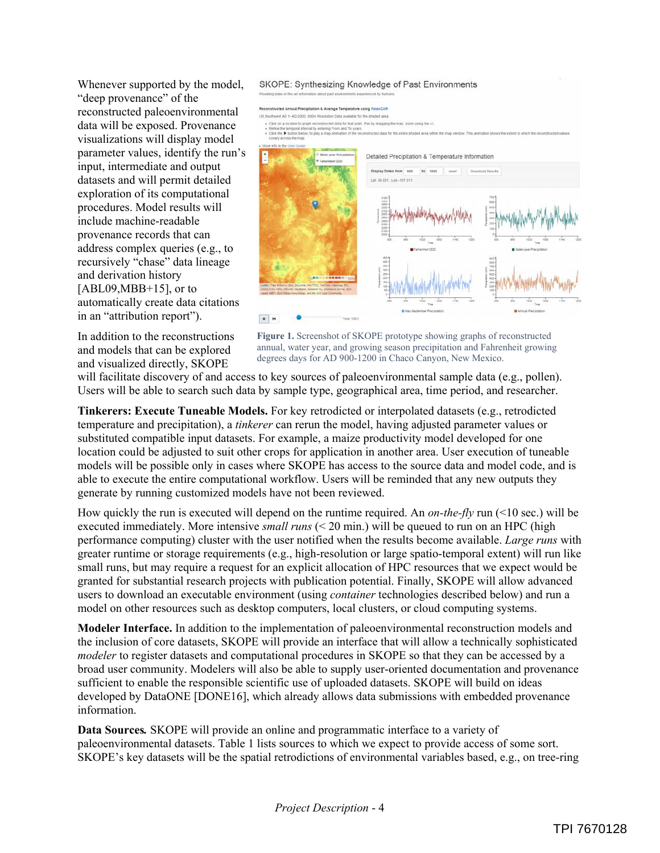Whenever supported by the model, "deep provenance" of the reconstructed paleoenvironmental data will be exposed. Provenance visualizations will display model parameter values, identify the run's input, intermediate and output datasets and will permit detailed exploration of its computational procedures. Model results will include machine-readable provenance records that can address complex queries (e.g., to recursively "chase" data lineage and derivation history  $[ABL09, MBB+15]$ , or to automatically create data citations in an "attribution report").

In addition to the reconstructions and models that can be explored and visualized directly, SKOPE



**Figure 1.** Screenshot of SKOPE prototype showing graphs of reconstructed annual, water year, and growing season precipitation and Fahrenheit growing degrees days for AD 900-1200 in Chaco Canyon, New Mexico.

will facilitate discovery of and access to key sources of paleoenvironmental sample data (e.g., pollen). Users will be able to search such data by sample type, geographical area, time period, and researcher.

**Tinkerers: Execute Tuneable Models.** For key retrodicted or interpolated datasets (e.g., retrodicted temperature and precipitation), a *tinkerer* can rerun the model, having adjusted parameter values or substituted compatible input datasets. For example, a maize productivity model developed for one location could be adjusted to suit other crops for application in another area. User execution of tuneable models will be possible only in cases where SKOPE has access to the source data and model code, and is able to execute the entire computational workflow. Users will be reminded that any new outputs they generate by running customized models have not been reviewed.

How quickly the run is executed will depend on the runtime required. An *on-the-fly* run (<10 sec.) will be executed immediately. More intensive *small runs* (< 20 min.) will be queued to run on an HPC (high performance computing) cluster with the user notified when the results become available. *Large runs* with greater runtime or storage requirements (e.g., high-resolution or large spatio-temporal extent) will run like small runs, but may require a request for an explicit allocation of HPC resources that we expect would be granted for substantial research projects with publication potential. Finally, SKOPE will allow advanced users to download an executable environment (using *container* technologies described below) and run a model on other resources such as desktop computers, local clusters, or cloud computing systems.

**Modeler Interface.** In addition to the implementation of paleoenvironmental reconstruction models and the inclusion of core datasets, SKOPE will provide an interface that will allow a technically sophisticated *modeler* to register datasets and computational procedures in SKOPE so that they can be accessed by a broad user community. Modelers will also be able to supply user-oriented documentation and provenance sufficient to enable the responsible scientific use of uploaded datasets. SKOPE will build on ideas developed by DataONE [DONE16], which already allows data submissions with embedded provenance information.

**Data Sources***.* SKOPE will provide an online and programmatic interface to a variety of paleoenvironmental datasets. Table 1 lists sources to which we expect to provide access of some sort. SKOPE's key datasets will be the spatial retrodictions of environmental variables based, e.g., on tree-ring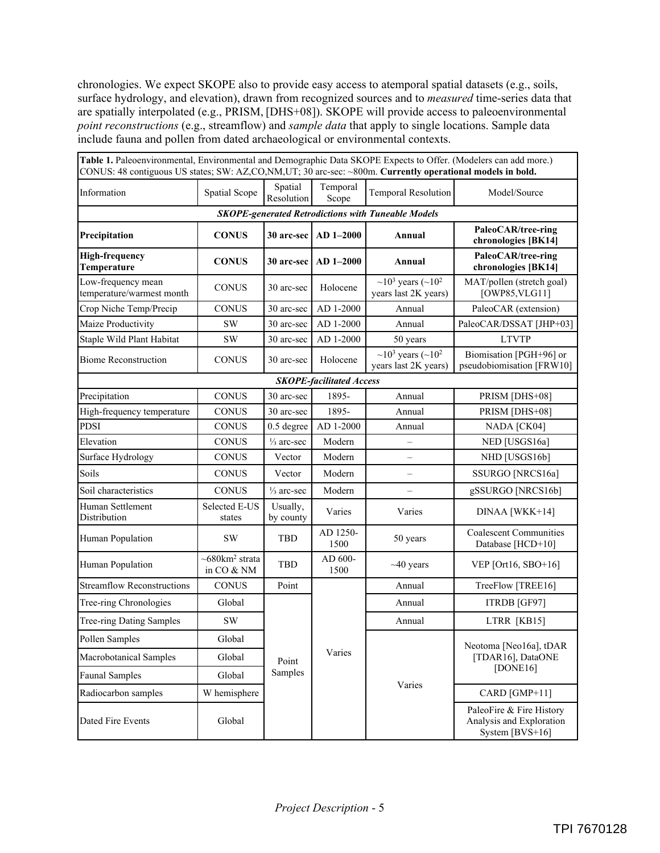chronologies. We expect SKOPE also to provide easy access to atemporal spatial datasets (e.g., soils, surface hydrology, and elevation), drawn from recognized sources and to *measured* time-series data that are spatially interpolated (e.g., PRISM, [DHS+08]). SKOPE will provide access to paleoenvironmental *point reconstructions* (e.g., streamflow) and *sample data* that apply to single locations. Sample data include fauna and pollen from dated archaeological or environmental contexts.

| Table 1. Paleoenvironmental, Environmental and Demographic Data SKOPE Expects to Offer. (Modelers can add more.)<br>CONUS: 48 contiguous US states; SW: AZ,CO,NM,UT; 30 arc-sec: ~800m. Currently operational models in bold. |                                             |                       |                   |                                                                               |                                                                           |
|-------------------------------------------------------------------------------------------------------------------------------------------------------------------------------------------------------------------------------|---------------------------------------------|-----------------------|-------------------|-------------------------------------------------------------------------------|---------------------------------------------------------------------------|
| Information                                                                                                                                                                                                                   | Spatial Scope                               | Spatial<br>Resolution | Temporal<br>Scope | <b>Temporal Resolution</b>                                                    | Model/Source                                                              |
| <b>SKOPE-generated Retrodictions with Tuneable Models</b>                                                                                                                                                                     |                                             |                       |                   |                                                                               |                                                                           |
| Precipitation                                                                                                                                                                                                                 | <b>CONUS</b>                                | 30 arc-sec            | $AD 1-2000$       | Annual                                                                        | PaleoCAR/tree-ring<br>chronologies [BK14]                                 |
| <b>High-frequency</b><br>Temperature                                                                                                                                                                                          | <b>CONUS</b>                                | 30 arc-sec            | $AD 1-2000$       | Annual                                                                        | PaleoCAR/tree-ring<br>chronologies [BK14]                                 |
| Low-frequency mean<br>temperature/warmest month                                                                                                                                                                               | <b>CONUS</b>                                | 30 arc-sec            | Holocene          | $\sim$ 10 <sup>3</sup> years ( $\sim$ 10 <sup>2</sup><br>years last 2K years) | MAT/pollen (stretch goal)<br>[OWP85, VLG11]                               |
| Crop Niche Temp/Precip                                                                                                                                                                                                        | <b>CONUS</b>                                | 30 arc-sec            | AD 1-2000         | Annual                                                                        | PaleoCAR (extension)                                                      |
| Maize Productivity                                                                                                                                                                                                            | <b>SW</b>                                   | 30 arc-sec            | AD 1-2000         | Annual                                                                        | PaleoCAR/DSSAT [JHP+03]                                                   |
| Staple Wild Plant Habitat                                                                                                                                                                                                     | <b>SW</b>                                   | 30 arc-sec            | AD 1-2000         | 50 years                                                                      | <b>LTVTP</b>                                                              |
| <b>Biome Reconstruction</b>                                                                                                                                                                                                   | <b>CONUS</b>                                | 30 arc-sec            | Holocene          | $\sim 10^3$ years ( $\sim 10^2$ )<br>years last 2K years)                     | Biomisation [PGH+96] or<br>pseudobiomisation [FRW10]                      |
| <b>SKOPE-facilitated Access</b>                                                                                                                                                                                               |                                             |                       |                   |                                                                               |                                                                           |
| Precipitation                                                                                                                                                                                                                 | <b>CONUS</b>                                | 30 arc-sec            | 1895-             | Annual                                                                        | PRISM [DHS+08]                                                            |
| High-frequency temperature                                                                                                                                                                                                    | <b>CONUS</b>                                | 30 arc-sec            | 1895-             | Annual                                                                        | PRISM [DHS+08]                                                            |
| <b>PDSI</b>                                                                                                                                                                                                                   | <b>CONUS</b>                                | 0.5 degree            | AD 1-2000         | Annual                                                                        | NADA [CK04]                                                               |
| Elevation                                                                                                                                                                                                                     | <b>CONUS</b>                                | $\frac{1}{3}$ arc-sec | Modern            |                                                                               | NED [USGS16a]                                                             |
| Surface Hydrology                                                                                                                                                                                                             | <b>CONUS</b>                                | Vector                | Modern            |                                                                               | NHD [USGS16b]                                                             |
| Soils                                                                                                                                                                                                                         | <b>CONUS</b>                                | Vector                | Modern            |                                                                               | SSURGO [NRCS16a]                                                          |
| Soil characteristics                                                                                                                                                                                                          | <b>CONUS</b>                                | $\frac{1}{3}$ arc-sec | Modern            |                                                                               | gSSURGO [NRCS16b]                                                         |
| Human Settlement<br>Distribution                                                                                                                                                                                              | Selected E-US<br>states                     | Usually,<br>by county | Varies            | Varies                                                                        | DINAA [WKK+14]                                                            |
| Human Population                                                                                                                                                                                                              | <b>SW</b>                                   | <b>TBD</b>            | AD 1250-<br>1500  | 50 years                                                                      | <b>Coalescent Communities</b><br>Database [HCD+10]                        |
| Human Population                                                                                                                                                                                                              | $~580$ km <sup>2</sup> strata<br>in CO & NM | TBD                   | AD 600-<br>1500   | $~10$ years                                                                   | VEP [Ort16, SBO+16]                                                       |
| <b>Streamflow Reconstructions</b>                                                                                                                                                                                             | <b>CONUS</b>                                | Point                 | Varies            | Annual                                                                        | TreeFlow [TREE16]                                                         |
| Tree-ring Chronologies                                                                                                                                                                                                        | Global                                      | Point<br>Samples      |                   | Annual                                                                        | ITRDB [GF97]                                                              |
| <b>Tree-ring Dating Samples</b>                                                                                                                                                                                               | <b>SW</b>                                   |                       |                   | Annual                                                                        | LTRR [KB15]                                                               |
| Pollen Samples                                                                                                                                                                                                                | Global                                      |                       |                   | Varies                                                                        | Neotoma [Neo16a], tDAR<br>[TDAR16], DataONE<br>[DONE16]                   |
| Macrobotanical Samples                                                                                                                                                                                                        | Global                                      |                       |                   |                                                                               |                                                                           |
| <b>Faunal Samples</b>                                                                                                                                                                                                         | Global                                      |                       |                   |                                                                               |                                                                           |
| Radiocarbon samples                                                                                                                                                                                                           | W hemisphere                                |                       |                   |                                                                               | CARD [GMP+11]                                                             |
| Dated Fire Events                                                                                                                                                                                                             | Global                                      |                       |                   |                                                                               | PaleoFire & Fire History<br>Analysis and Exploration<br>System $[BVS+16]$ |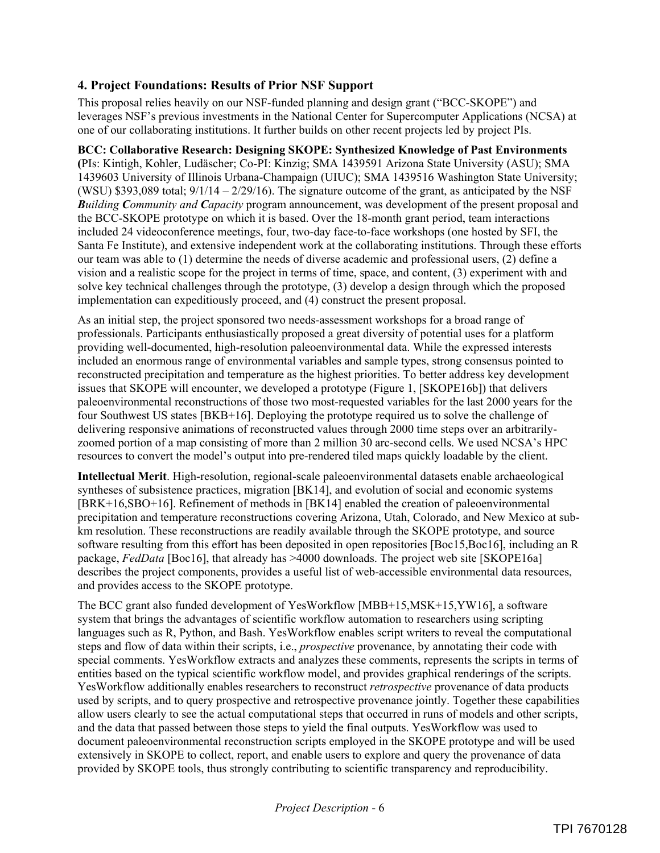## **4. Project Foundations: Results of Prior NSF Support**

This proposal relies heavily on our NSF-funded planning and design grant ("BCC-SKOPE") and leverages NSF's previous investments in the National Center for Supercomputer Applications (NCSA) at one of our collaborating institutions. It further builds on other recent projects led by project PIs.

### **BCC: Collaborative Research: Designing SKOPE: Synthesized Knowledge of Past Environments**

**(**PIs: Kintigh, Kohler, Ludäscher; Co-PI: Kinzig; SMA 1439591 Arizona State University (ASU); SMA 1439603 University of Illinois Urbana-Champaign (UIUC); SMA 1439516 Washington State University; (WSU) \$393,089 total;  $9/1/14 - 2/29/16$ ). The signature outcome of the grant, as anticipated by the NSF *Building Community and Capacity* program announcement, was development of the present proposal and the BCC-SKOPE prototype on which it is based. Over the 18-month grant period, team interactions included 24 videoconference meetings, four, two-day face-to-face workshops (one hosted by SFI, the Santa Fe Institute), and extensive independent work at the collaborating institutions. Through these efforts our team was able to (1) determine the needs of diverse academic and professional users, (2) define a vision and a realistic scope for the project in terms of time, space, and content, (3) experiment with and solve key technical challenges through the prototype, (3) develop a design through which the proposed implementation can expeditiously proceed, and (4) construct the present proposal.

As an initial step, the project sponsored two needs-assessment workshops for a broad range of professionals. Participants enthusiastically proposed a great diversity of potential uses for a platform providing well-documented, high-resolution paleoenvironmental data. While the expressed interests included an enormous range of environmental variables and sample types, strong consensus pointed to reconstructed precipitation and temperature as the highest priorities. To better address key development issues that SKOPE will encounter, we developed a prototype (Figure 1, [SKOPE16b]) that delivers paleoenvironmental reconstructions of those two most-requested variables for the last 2000 years for the four Southwest US states [BKB+16]. Deploying the prototype required us to solve the challenge of delivering responsive animations of reconstructed values through 2000 time steps over an arbitrarilyzoomed portion of a map consisting of more than 2 million 30 arc-second cells. We used NCSA's HPC resources to convert the model's output into pre-rendered tiled maps quickly loadable by the client.

**Intellectual Merit**. High-resolution, regional-scale paleoenvironmental datasets enable archaeological syntheses of subsistence practices, migration [BK14], and evolution of social and economic systems [BRK+16,SBO+16]. Refinement of methods in [BK14] enabled the creation of paleoenvironmental precipitation and temperature reconstructions covering Arizona, Utah, Colorado, and New Mexico at subkm resolution. These reconstructions are readily available through the SKOPE prototype, and source software resulting from this effort has been deposited in open repositories [Boc15,Boc16], including an R package, *FedData* [Boc16], that already has >4000 downloads. The project web site [SKOPE16a] describes the project components, provides a useful list of web-accessible environmental data resources, and provides access to the SKOPE prototype.

The BCC grant also funded development of YesWorkflow [MBB+15,MSK+15,YW16], a software system that brings the advantages of scientific workflow automation to researchers using scripting languages such as R, Python, and Bash. YesWorkflow enables script writers to reveal the computational steps and flow of data within their scripts, i.e., *prospective* provenance, by annotating their code with special comments. YesWorkflow extracts and analyzes these comments, represents the scripts in terms of entities based on the typical scientific workflow model, and provides graphical renderings of the scripts. YesWorkflow additionally enables researchers to reconstruct *retrospective* provenance of data products used by scripts, and to query prospective and retrospective provenance jointly. Together these capabilities allow users clearly to see the actual computational steps that occurred in runs of models and other scripts, and the data that passed between those steps to yield the final outputs. YesWorkflow was used to document paleoenvironmental reconstruction scripts employed in the SKOPE prototype and will be used extensively in SKOPE to collect, report, and enable users to explore and query the provenance of data provided by SKOPE tools, thus strongly contributing to scientific transparency and reproducibility.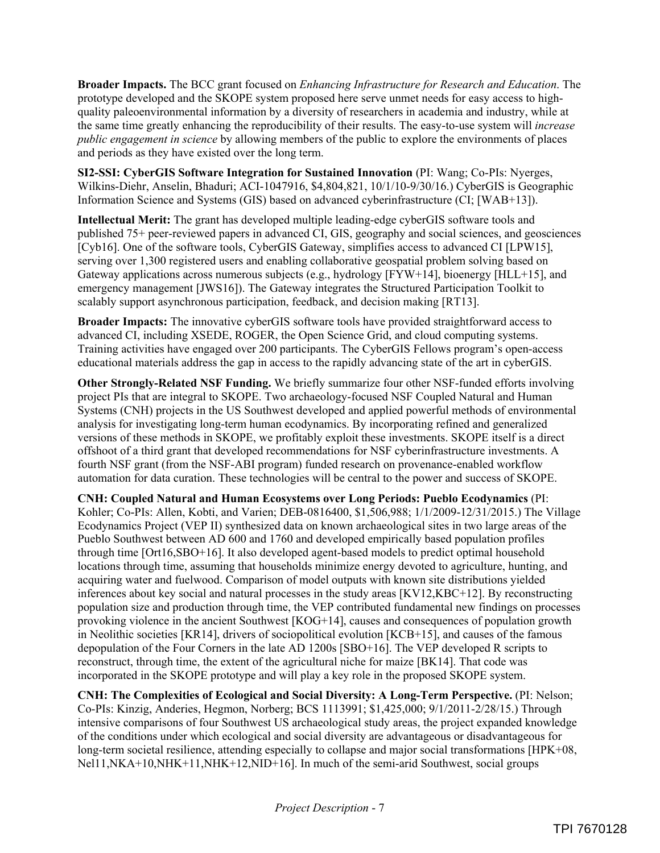**Broader Impacts.** The BCC grant focused on *Enhancing Infrastructure for Research and Education*. The prototype developed and the SKOPE system proposed here serve unmet needs for easy access to highquality paleoenvironmental information by a diversity of researchers in academia and industry, while at the same time greatly enhancing the reproducibility of their results. The easy-to-use system will *increase public engagement in science* by allowing members of the public to explore the environments of places and periods as they have existed over the long term.

**SI2-SSI: CyberGIS Software Integration for Sustained Innovation** (PI: Wang; Co-PIs: Nyerges, Wilkins-Diehr, Anselin, Bhaduri; ACI-1047916, \$4,804,821, 10/1/10-9/30/16.) CyberGIS is Geographic Information Science and Systems (GIS) based on advanced cyberinfrastructure (CI; [WAB+13]).

**Intellectual Merit:** The grant has developed multiple leading-edge cyberGIS software tools and published 75+ peer-reviewed papers in advanced CI, GIS, geography and social sciences, and geosciences [Cyb16]. One of the software tools, CyberGIS Gateway, simplifies access to advanced CI [LPW15], serving over 1,300 registered users and enabling collaborative geospatial problem solving based on Gateway applications across numerous subjects (e.g., hydrology [FYW+14], bioenergy [HLL+15], and emergency management [JWS16]). The Gateway integrates the Structured Participation Toolkit to scalably support asynchronous participation, feedback, and decision making [RT13].

**Broader Impacts:** The innovative cyberGIS software tools have provided straightforward access to advanced CI, including XSEDE, ROGER, the Open Science Grid, and cloud computing systems. Training activities have engaged over 200 participants. The CyberGIS Fellows program's open-access educational materials address the gap in access to the rapidly advancing state of the art in cyberGIS.

**Other Strongly-Related NSF Funding.** We briefly summarize four other NSF-funded efforts involving project PIs that are integral to SKOPE. Two archaeology-focused NSF Coupled Natural and Human Systems (CNH) projects in the US Southwest developed and applied powerful methods of environmental analysis for investigating long-term human ecodynamics. By incorporating refined and generalized versions of these methods in SKOPE, we profitably exploit these investments. SKOPE itself is a direct offshoot of a third grant that developed recommendations for NSF cyberinfrastructure investments. A fourth NSF grant (from the NSF-ABI program) funded research on provenance-enabled workflow automation for data curation. These technologies will be central to the power and success of SKOPE.

**CNH: Coupled Natural and Human Ecosystems over Long Periods: Pueblo Ecodynamics** (PI: Kohler; Co-PIs: Allen, Kobti, and Varien; DEB-0816400, \$1,506,988; 1/1/2009-12/31/2015.) The Village Ecodynamics Project (VEP II) synthesized data on known archaeological sites in two large areas of the Pueblo Southwest between AD 600 and 1760 and developed empirically based population profiles through time [Ort16,SBO+16]. It also developed agent-based models to predict optimal household locations through time, assuming that households minimize energy devoted to agriculture, hunting, and acquiring water and fuelwood. Comparison of model outputs with known site distributions yielded inferences about key social and natural processes in the study areas [KV12,KBC+12]. By reconstructing population size and production through time, the VEP contributed fundamental new findings on processes provoking violence in the ancient Southwest [KOG+14], causes and consequences of population growth in Neolithic societies [KR14], drivers of sociopolitical evolution [KCB+15], and causes of the famous depopulation of the Four Corners in the late AD 1200s [SBO+16]. The VEP developed R scripts to reconstruct, through time, the extent of the agricultural niche for maize [BK14]. That code was incorporated in the SKOPE prototype and will play a key role in the proposed SKOPE system.

**CNH: The Complexities of Ecological and Social Diversity: A Long-Term Perspective.** (PI: Nelson; Co-PIs: Kinzig, Anderies, Hegmon, Norberg; BCS 1113991; \$1,425,000; 9/1/2011-2/28/15.) Through intensive comparisons of four Southwest US archaeological study areas, the project expanded knowledge of the conditions under which ecological and social diversity are advantageous or disadvantageous for long-term societal resilience, attending especially to collapse and major social transformations [HPK+08, Nel11,NKA+10,NHK+11,NHK+12,NID+16]. In much of the semi-arid Southwest, social groups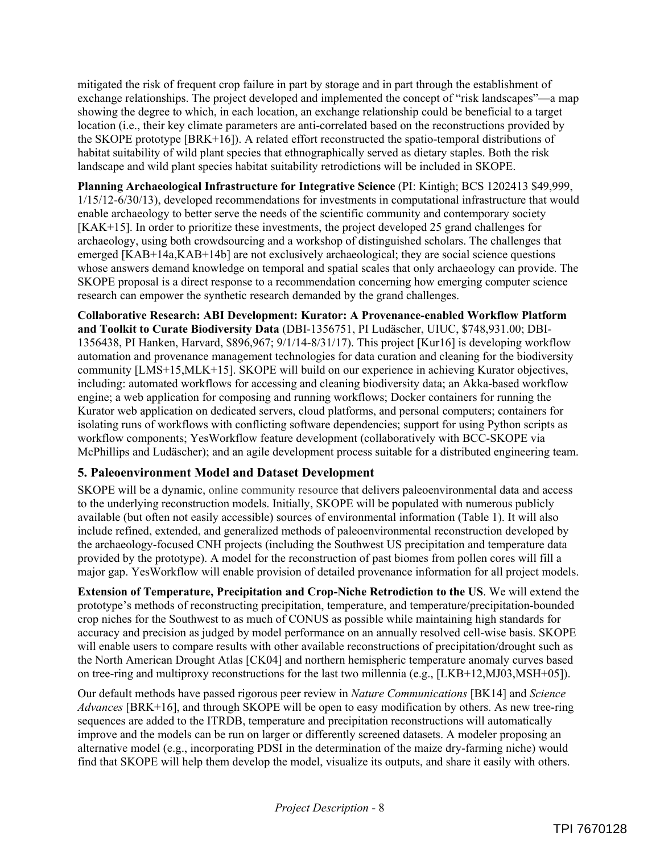mitigated the risk of frequent crop failure in part by storage and in part through the establishment of exchange relationships. The project developed and implemented the concept of "risk landscapes"—a map showing the degree to which, in each location, an exchange relationship could be beneficial to a target location (i.e., their key climate parameters are anti-correlated based on the reconstructions provided by the SKOPE prototype [BRK+16]). A related effort reconstructed the spatio-temporal distributions of habitat suitability of wild plant species that ethnographically served as dietary staples. Both the risk landscape and wild plant species habitat suitability retrodictions will be included in SKOPE.

**Planning Archaeological Infrastructure for Integrative Science** (PI: Kintigh; BCS 1202413 \$49,999, 1/15/12-6/30/13), developed recommendations for investments in computational infrastructure that would enable archaeology to better serve the needs of the scientific community and contemporary society [KAK+15]. In order to prioritize these investments, the project developed 25 grand challenges for archaeology, using both crowdsourcing and a workshop of distinguished scholars. The challenges that emerged [KAB+14a,KAB+14b] are not exclusively archaeological; they are social science questions whose answers demand knowledge on temporal and spatial scales that only archaeology can provide. The SKOPE proposal is a direct response to a recommendation concerning how emerging computer science research can empower the synthetic research demanded by the grand challenges.

**Collaborative Research: ABI Development: Kurator: A Provenance-enabled Workflow Platform and Toolkit to Curate Biodiversity Data** (DBI-1356751, PI Ludäscher, UIUC, \$748,931.00; DBI-1356438, PI Hanken, Harvard, \$896,967; 9/1/14-8/31/17). This project [Kur16] is developing workflow automation and provenance management technologies for data curation and cleaning for the biodiversity community [LMS+15,MLK+15]. SKOPE will build on our experience in achieving Kurator objectives, including: automated workflows for accessing and cleaning biodiversity data; an Akka-based workflow engine; a web application for composing and running workflows; Docker containers for running the Kurator web application on dedicated servers, cloud platforms, and personal computers; containers for isolating runs of workflows with conflicting software dependencies; support for using Python scripts as workflow components; YesWorkflow feature development (collaboratively with BCC-SKOPE via McPhillips and Ludäscher); and an agile development process suitable for a distributed engineering team.

# **5. Paleoenvironment Model and Dataset Development**

SKOPE will be a dynamic, online community resource that delivers paleoenvironmental data and access to the underlying reconstruction models. Initially, SKOPE will be populated with numerous publicly available (but often not easily accessible) sources of environmental information (Table 1). It will also include refined, extended, and generalized methods of paleoenvironmental reconstruction developed by the archaeology-focused CNH projects (including the Southwest US precipitation and temperature data provided by the prototype). A model for the reconstruction of past biomes from pollen cores will fill a major gap. YesWorkflow will enable provision of detailed provenance information for all project models.

**Extension of Temperature, Precipitation and Crop-Niche Retrodiction to the US**. We will extend the prototype's methods of reconstructing precipitation, temperature, and temperature/precipitation-bounded crop niches for the Southwest to as much of CONUS as possible while maintaining high standards for accuracy and precision as judged by model performance on an annually resolved cell-wise basis. SKOPE will enable users to compare results with other available reconstructions of precipitation/drought such as the North American Drought Atlas [CK04] and northern hemispheric temperature anomaly curves based on tree-ring and multiproxy reconstructions for the last two millennia (e.g., [LKB+12,MJ03,MSH+05]).

Our default methods have passed rigorous peer review in *Nature Communications* [BK14] and *Science Advances* [BRK+16], and through SKOPE will be open to easy modification by others. As new tree-ring sequences are added to the ITRDB, temperature and precipitation reconstructions will automatically improve and the models can be run on larger or differently screened datasets. A modeler proposing an alternative model (e.g., incorporating PDSI in the determination of the maize dry-farming niche) would find that SKOPE will help them develop the model, visualize its outputs, and share it easily with others.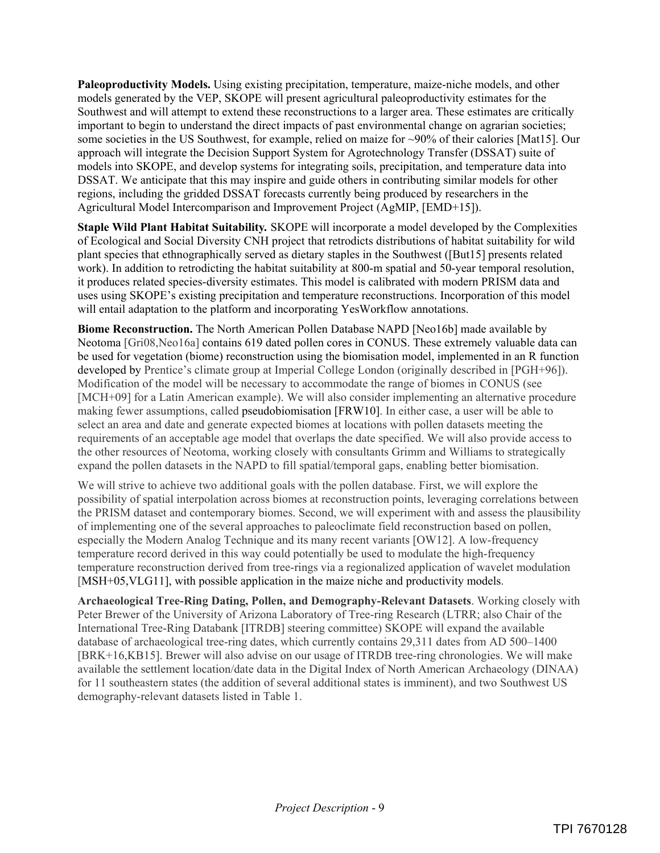**Paleoproductivity Models.** Using existing precipitation, temperature, maize-niche models, and other models generated by the VEP, SKOPE will present agricultural paleoproductivity estimates for the Southwest and will attempt to extend these reconstructions to a larger area. These estimates are critically important to begin to understand the direct impacts of past environmental change on agrarian societies; some societies in the US Southwest, for example, relied on maize for ~90% of their calories [Mat15]. Our approach will integrate the Decision Support System for Agrotechnology Transfer (DSSAT) suite of models into SKOPE, and develop systems for integrating soils, precipitation, and temperature data into DSSAT. We anticipate that this may inspire and guide others in contributing similar models for other regions, including the gridded DSSAT forecasts currently being produced by researchers in the Agricultural Model Intercomparison and Improvement Project (AgMIP, [EMD+15]).

**Staple Wild Plant Habitat Suitability***.* SKOPE will incorporate a model developed by the Complexities of Ecological and Social Diversity CNH project that retrodicts distributions of habitat suitability for wild plant species that ethnographically served as dietary staples in the Southwest ([But15] presents related work). In addition to retrodicting the habitat suitability at 800-m spatial and 50-year temporal resolution, it produces related species-diversity estimates. This model is calibrated with modern PRISM data and uses using SKOPE's existing precipitation and temperature reconstructions. Incorporation of this model will entail adaptation to the platform and incorporating YesWorkflow annotations.

**Biome Reconstruction.** The North American Pollen Database NAPD [Neo16b] made available by Neotoma [Gri08,Neo16a] contains 619 dated pollen cores in CONUS. These extremely valuable data can be used for vegetation (biome) reconstruction using the biomisation model, implemented in an R function developed by Prentice's climate group at Imperial College London (originally described in [PGH+96]). Modification of the model will be necessary to accommodate the range of biomes in CONUS (see [MCH+09] for a Latin American example). We will also consider implementing an alternative procedure making fewer assumptions, called pseudobiomisation [FRW10]. In either case, a user will be able to select an area and date and generate expected biomes at locations with pollen datasets meeting the requirements of an acceptable age model that overlaps the date specified. We will also provide access to the other resources of Neotoma, working closely with consultants Grimm and Williams to strategically expand the pollen datasets in the NAPD to fill spatial/temporal gaps, enabling better biomisation.

We will strive to achieve two additional goals with the pollen database. First, we will explore the possibility of spatial interpolation across biomes at reconstruction points, leveraging correlations between the PRISM dataset and contemporary biomes. Second, we will experiment with and assess the plausibility of implementing one of the several approaches to paleoclimate field reconstruction based on pollen, especially the Modern Analog Technique and its many recent variants [OW12]. A low-frequency temperature record derived in this way could potentially be used to modulate the high-frequency temperature reconstruction derived from tree-rings via a regionalized application of wavelet modulation [MSH+05,VLG11], with possible application in the maize niche and productivity models.

**Archaeological Tree-Ring Dating, Pollen, and Demography-Relevant Datasets**. Working closely with Peter Brewer of the University of Arizona Laboratory of Tree-ring Research (LTRR; also Chair of the International Tree-Ring Databank [ITRDB] steering committee) SKOPE will expand the available database of archaeological tree-ring dates, which currently contains 29,311 dates from AD 500–1400 [BRK+16,KB15]. Brewer will also advise on our usage of ITRDB tree-ring chronologies. We will make available the settlement location/date data in the Digital Index of North American Archaeology (DINAA) for 11 southeastern states (the addition of several additional states is imminent), and two Southwest US demography-relevant datasets listed in Table 1.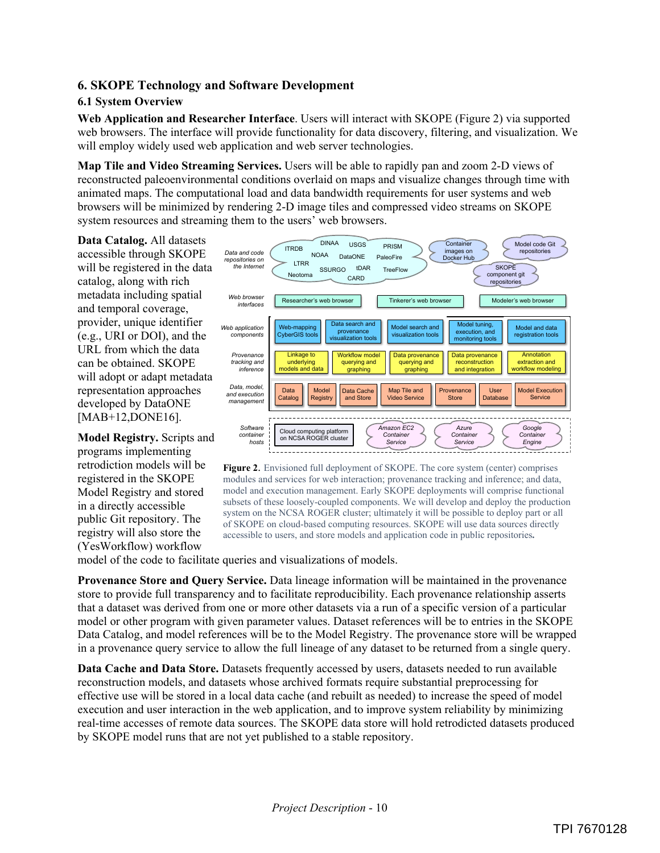## **6. SKOPE Technology and Software Development**

#### **6.1 System Overview**

**Web Application and Researcher Interface**. Users will interact with SKOPE (Figure 2) via supported web browsers. The interface will provide functionality for data discovery, filtering, and visualization. We will employ widely used web application and web server technologies.

**Map Tile and Video Streaming Services.** Users will be able to rapidly pan and zoom 2-D views of reconstructed paleoenvironmental conditions overlaid on maps and visualize changes through time with animated maps. The computational load and data bandwidth requirements for user systems and web browsers will be minimized by rendering 2-D image tiles and compressed video streams on SKOPE system resources and streaming them to the users' web browsers.

**Data Catalog.** All datasets accessible through SKOPE will be registered in the data catalog, along with rich metadata including spatial and temporal coverage, provider, unique identifier (e.g., URI or DOI), and the URL from which the data can be obtained. SKOPE will adopt or adapt metadata representation approaches developed by DataONE [MAB+12,DONE16].

**Model Registry.** Scripts and programs implementing retrodiction models will be registered in the SKOPE Model Registry and stored in a directly accessible public Git repository. The registry will also store the (YesWorkflow) workflow





model of the code to facilitate queries and visualizations of models.

**Provenance Store and Query Service.** Data lineage information will be maintained in the provenance store to provide full transparency and to facilitate reproducibility. Each provenance relationship asserts that a dataset was derived from one or more other datasets via a run of a specific version of a particular model or other program with given parameter values. Dataset references will be to entries in the SKOPE Data Catalog, and model references will be to the Model Registry. The provenance store will be wrapped in a provenance query service to allow the full lineage of any dataset to be returned from a single query.

**Data Cache and Data Store.** Datasets frequently accessed by users, datasets needed to run available reconstruction models, and datasets whose archived formats require substantial preprocessing for effective use will be stored in a local data cache (and rebuilt as needed) to increase the speed of model execution and user interaction in the web application, and to improve system reliability by minimizing real-time accesses of remote data sources. The SKOPE data store will hold retrodicted datasets produced by SKOPE model runs that are not yet published to a stable repository.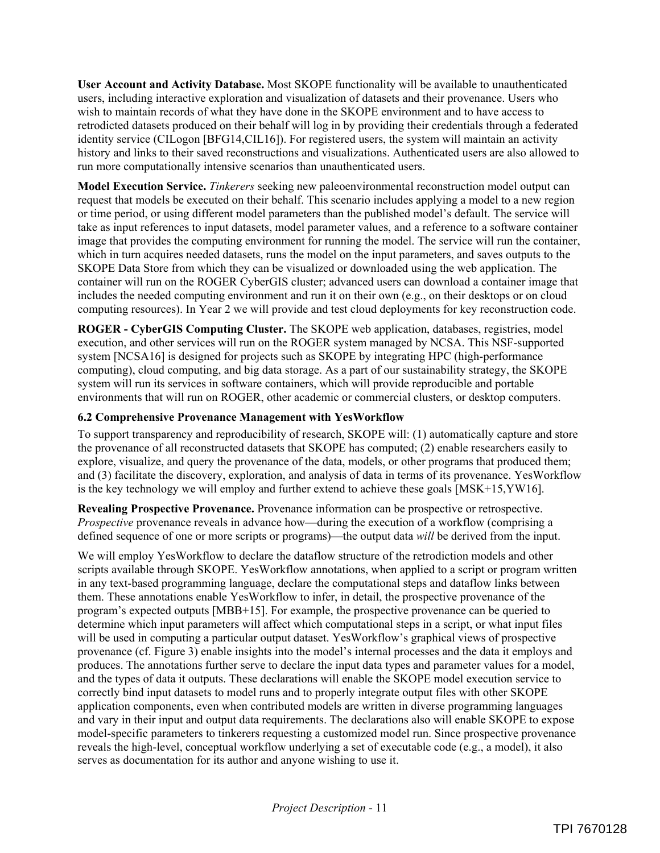**User Account and Activity Database.** Most SKOPE functionality will be available to unauthenticated users, including interactive exploration and visualization of datasets and their provenance. Users who wish to maintain records of what they have done in the SKOPE environment and to have access to retrodicted datasets produced on their behalf will log in by providing their credentials through a federated identity service (CILogon [BFG14,CIL16]). For registered users, the system will maintain an activity history and links to their saved reconstructions and visualizations. Authenticated users are also allowed to run more computationally intensive scenarios than unauthenticated users.

**Model Execution Service.** *Tinkerers* seeking new paleoenvironmental reconstruction model output can request that models be executed on their behalf. This scenario includes applying a model to a new region or time period, or using different model parameters than the published model's default. The service will take as input references to input datasets, model parameter values, and a reference to a software container image that provides the computing environment for running the model. The service will run the container, which in turn acquires needed datasets, runs the model on the input parameters, and saves outputs to the SKOPE Data Store from which they can be visualized or downloaded using the web application. The container will run on the ROGER CyberGIS cluster; advanced users can download a container image that includes the needed computing environment and run it on their own (e.g., on their desktops or on cloud computing resources). In Year 2 we will provide and test cloud deployments for key reconstruction code.

**ROGER - CyberGIS Computing Cluster.** The SKOPE web application, databases, registries, model execution, and other services will run on the ROGER system managed by NCSA. This NSF-supported system [NCSA16] is designed for projects such as SKOPE by integrating HPC (high-performance computing), cloud computing, and big data storage. As a part of our sustainability strategy, the SKOPE system will run its services in software containers, which will provide reproducible and portable environments that will run on ROGER, other academic or commercial clusters, or desktop computers.

### **6.2 Comprehensive Provenance Management with YesWorkflow**

To support transparency and reproducibility of research, SKOPE will: (1) automatically capture and store the provenance of all reconstructed datasets that SKOPE has computed; (2) enable researchers easily to explore, visualize, and query the provenance of the data, models, or other programs that produced them; and (3) facilitate the discovery, exploration, and analysis of data in terms of its provenance. YesWorkflow is the key technology we will employ and further extend to achieve these goals [MSK+15,YW16].

**Revealing Prospective Provenance.** Provenance information can be prospective or retrospective. *Prospective* provenance reveals in advance how—during the execution of a workflow (comprising a defined sequence of one or more scripts or programs)—the output data *will* be derived from the input.

We will employ YesWorkflow to declare the dataflow structure of the retrodiction models and other scripts available through SKOPE. YesWorkflow annotations, when applied to a script or program written in any text-based programming language, declare the computational steps and dataflow links between them. These annotations enable YesWorkflow to infer, in detail, the prospective provenance of the program's expected outputs [MBB+15]. For example, the prospective provenance can be queried to determine which input parameters will affect which computational steps in a script, or what input files will be used in computing a particular output dataset. YesWorkflow's graphical views of prospective provenance (cf. Figure 3) enable insights into the model's internal processes and the data it employs and produces. The annotations further serve to declare the input data types and parameter values for a model, and the types of data it outputs. These declarations will enable the SKOPE model execution service to correctly bind input datasets to model runs and to properly integrate output files with other SKOPE application components, even when contributed models are written in diverse programming languages and vary in their input and output data requirements. The declarations also will enable SKOPE to expose model-specific parameters to tinkerers requesting a customized model run. Since prospective provenance reveals the high-level, conceptual workflow underlying a set of executable code (e.g., a model), it also serves as documentation for its author and anyone wishing to use it.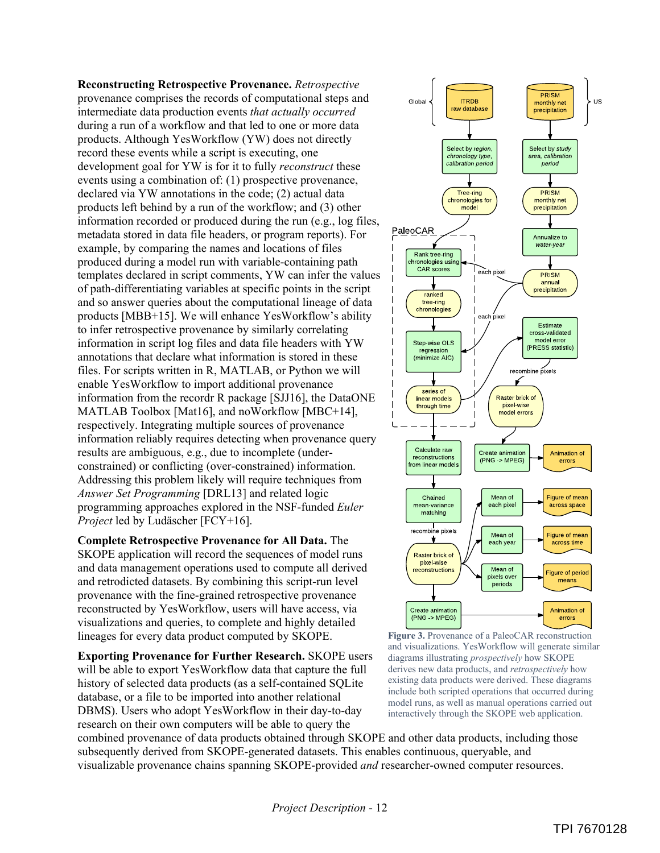**Reconstructing Retrospective Provenance.** *Retrospective* provenance comprises the records of computational steps and intermediate data production events *that actually occurred* during a run of a workflow and that led to one or more data products. Although YesWorkflow (YW) does not directly record these events while a script is executing, one development goal for YW is for it to fully *reconstruct* these events using a combination of: (1) prospective provenance, declared via YW annotations in the code; (2) actual data products left behind by a run of the workflow; and (3) other information recorded or produced during the run (e.g., log files, metadata stored in data file headers, or program reports). For example, by comparing the names and locations of files produced during a model run with variable-containing path templates declared in script comments, YW can infer the values of path-differentiating variables at specific points in the script and so answer queries about the computational lineage of data products [MBB+15]. We will enhance YesWorkflow's ability to infer retrospective provenance by similarly correlating information in script log files and data file headers with YW annotations that declare what information is stored in these files. For scripts written in R, MATLAB, or Python we will enable YesWorkflow to import additional provenance information from the recordr R package [SJJ16], the DataONE MATLAB Toolbox [Mat16], and noWorkflow [MBC+14], respectively. Integrating multiple sources of provenance information reliably requires detecting when provenance query results are ambiguous, e.g., due to incomplete (underconstrained) or conflicting (over-constrained) information. Addressing this problem likely will require techniques from *Answer Set Programming* [DRL13] and related logic programming approaches explored in the NSF-funded *Euler Project* led by Ludäscher [FCY+16].

#### **Complete Retrospective Provenance for All Data.** The

SKOPE application will record the sequences of model runs and data management operations used to compute all derived and retrodicted datasets. By combining this script-run level provenance with the fine-grained retrospective provenance reconstructed by YesWorkflow, users will have access, via visualizations and queries, to complete and highly detailed lineages for every data product computed by SKOPE.

**Exporting Provenance for Further Research.** SKOPE users will be able to export YesWorkflow data that capture the full history of selected data products (as a self-contained SQLite database, or a file to be imported into another relational DBMS). Users who adopt YesWorkflow in their day-to-day research on their own computers will be able to query the





combined provenance of data products obtained through SKOPE and other data products, including those subsequently derived from SKOPE-generated datasets. This enables continuous, queryable, and visualizable provenance chains spanning SKOPE-provided *and* researcher-owned computer resources.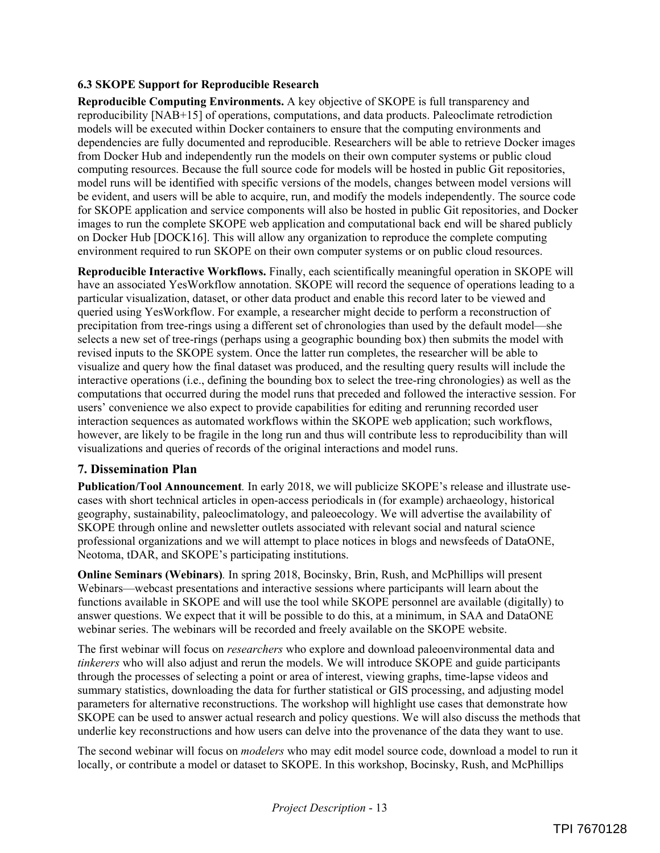### **6.3 SKOPE Support for Reproducible Research**

**Reproducible Computing Environments.** A key objective of SKOPE is full transparency and reproducibility [NAB+15] of operations, computations, and data products. Paleoclimate retrodiction models will be executed within Docker containers to ensure that the computing environments and dependencies are fully documented and reproducible. Researchers will be able to retrieve Docker images from Docker Hub and independently run the models on their own computer systems or public cloud computing resources. Because the full source code for models will be hosted in public Git repositories, model runs will be identified with specific versions of the models, changes between model versions will be evident, and users will be able to acquire, run, and modify the models independently. The source code for SKOPE application and service components will also be hosted in public Git repositories, and Docker images to run the complete SKOPE web application and computational back end will be shared publicly on Docker Hub [DOCK16]. This will allow any organization to reproduce the complete computing environment required to run SKOPE on their own computer systems or on public cloud resources.

**Reproducible Interactive Workflows.** Finally, each scientifically meaningful operation in SKOPE will have an associated YesWorkflow annotation. SKOPE will record the sequence of operations leading to a particular visualization, dataset, or other data product and enable this record later to be viewed and queried using YesWorkflow. For example, a researcher might decide to perform a reconstruction of precipitation from tree-rings using a different set of chronologies than used by the default model—she selects a new set of tree-rings (perhaps using a geographic bounding box) then submits the model with revised inputs to the SKOPE system. Once the latter run completes, the researcher will be able to visualize and query how the final dataset was produced, and the resulting query results will include the interactive operations (i.e., defining the bounding box to select the tree-ring chronologies) as well as the computations that occurred during the model runs that preceded and followed the interactive session. For users' convenience we also expect to provide capabilities for editing and rerunning recorded user interaction sequences as automated workflows within the SKOPE web application; such workflows, however, are likely to be fragile in the long run and thus will contribute less to reproducibility than will visualizations and queries of records of the original interactions and model runs.

### **7. Dissemination Plan**

**Publication/Tool Announcement***.* In early 2018, we will publicize SKOPE's release and illustrate usecases with short technical articles in open-access periodicals in (for example) archaeology, historical geography, sustainability, paleoclimatology, and paleoecology. We will advertise the availability of SKOPE through online and newsletter outlets associated with relevant social and natural science professional organizations and we will attempt to place notices in blogs and newsfeeds of DataONE, Neotoma, tDAR, and SKOPE's participating institutions.

**Online Seminars (Webinars)***.* In spring 2018, Bocinsky, Brin, Rush, and McPhillips will present Webinars—webcast presentations and interactive sessions where participants will learn about the functions available in SKOPE and will use the tool while SKOPE personnel are available (digitally) to answer questions. We expect that it will be possible to do this, at a minimum, in SAA and DataONE webinar series. The webinars will be recorded and freely available on the SKOPE website.

The first webinar will focus on *researchers* who explore and download paleoenvironmental data and *tinkerers* who will also adjust and rerun the models. We will introduce SKOPE and guide participants through the processes of selecting a point or area of interest, viewing graphs, time-lapse videos and summary statistics, downloading the data for further statistical or GIS processing, and adjusting model parameters for alternative reconstructions. The workshop will highlight use cases that demonstrate how SKOPE can be used to answer actual research and policy questions. We will also discuss the methods that underlie key reconstructions and how users can delve into the provenance of the data they want to use.

The second webinar will focus on *modelers* who may edit model source code, download a model to run it locally, or contribute a model or dataset to SKOPE. In this workshop, Bocinsky, Rush, and McPhillips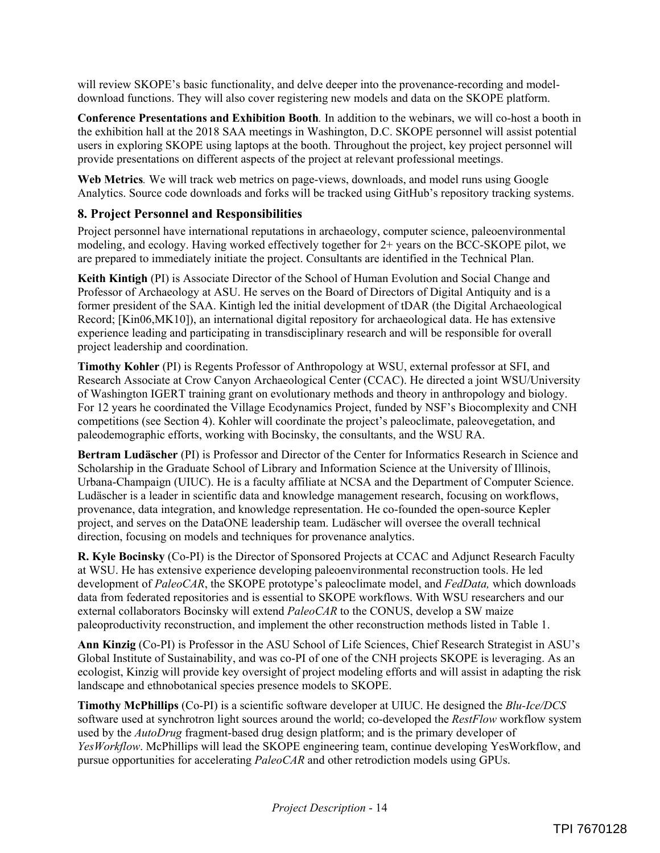will review SKOPE's basic functionality, and delve deeper into the provenance-recording and modeldownload functions. They will also cover registering new models and data on the SKOPE platform.

**Conference Presentations and Exhibition Booth***.* In addition to the webinars, we will co-host a booth in the exhibition hall at the 2018 SAA meetings in Washington, D.C. SKOPE personnel will assist potential users in exploring SKOPE using laptops at the booth. Throughout the project, key project personnel will provide presentations on different aspects of the project at relevant professional meetings.

**Web Metrics***.* We will track web metrics on page-views, downloads, and model runs using Google Analytics. Source code downloads and forks will be tracked using GitHub's repository tracking systems.

# **8. Project Personnel and Responsibilities**

Project personnel have international reputations in archaeology, computer science, paleoenvironmental modeling, and ecology. Having worked effectively together for 2+ years on the BCC-SKOPE pilot, we are prepared to immediately initiate the project. Consultants are identified in the Technical Plan.

**Keith Kintigh** (PI) is Associate Director of the School of Human Evolution and Social Change and Professor of Archaeology at ASU. He serves on the Board of Directors of Digital Antiquity and is a former president of the SAA. Kintigh led the initial development of tDAR (the Digital Archaeological Record; [Kin06,MK10]), an international digital repository for archaeological data. He has extensive experience leading and participating in transdisciplinary research and will be responsible for overall project leadership and coordination.

**Timothy Kohler** (PI) is Regents Professor of Anthropology at WSU, external professor at SFI, and Research Associate at Crow Canyon Archaeological Center (CCAC). He directed a joint WSU/University of Washington IGERT training grant on evolutionary methods and theory in anthropology and biology. For 12 years he coordinated the Village Ecodynamics Project, funded by NSF's Biocomplexity and CNH competitions (see Section 4). Kohler will coordinate the project's paleoclimate, paleovegetation, and paleodemographic efforts, working with Bocinsky, the consultants, and the WSU RA.

**Bertram Ludäscher** (PI) is Professor and Director of the Center for Informatics Research in Science and Scholarship in the Graduate School of Library and Information Science at the University of Illinois, Urbana-Champaign (UIUC). He is a faculty affiliate at NCSA and the Department of Computer Science. Ludäscher is a leader in scientific data and knowledge management research, focusing on workflows, provenance, data integration, and knowledge representation. He co-founded the open-source Kepler project, and serves on the DataONE leadership team. Ludäscher will oversee the overall technical direction, focusing on models and techniques for provenance analytics.

**R. Kyle Bocinsky** (Co-PI) is the Director of Sponsored Projects at CCAC and Adjunct Research Faculty at WSU. He has extensive experience developing paleoenvironmental reconstruction tools. He led development of *PaleoCAR*, the SKOPE prototype's paleoclimate model, and *FedData,* which downloads data from federated repositories and is essential to SKOPE workflows. With WSU researchers and our external collaborators Bocinsky will extend *PaleoCAR* to the CONUS, develop a SW maize paleoproductivity reconstruction, and implement the other reconstruction methods listed in Table 1.

**Ann Kinzig** (Co-PI) is Professor in the ASU School of Life Sciences, Chief Research Strategist in ASU's Global Institute of Sustainability, and was co-PI of one of the CNH projects SKOPE is leveraging. As an ecologist, Kinzig will provide key oversight of project modeling efforts and will assist in adapting the risk landscape and ethnobotanical species presence models to SKOPE.

**Timothy McPhillips** (Co-PI) is a scientific software developer at UIUC. He designed the *Blu-Ice/DCS* software used at synchrotron light sources around the world; co-developed the *RestFlow* workflow system used by the *AutoDrug* fragment-based drug design platform; and is the primary developer of *YesWorkflow*. McPhillips will lead the SKOPE engineering team, continue developing YesWorkflow, and pursue opportunities for accelerating *PaleoCAR* and other retrodiction models using GPUs.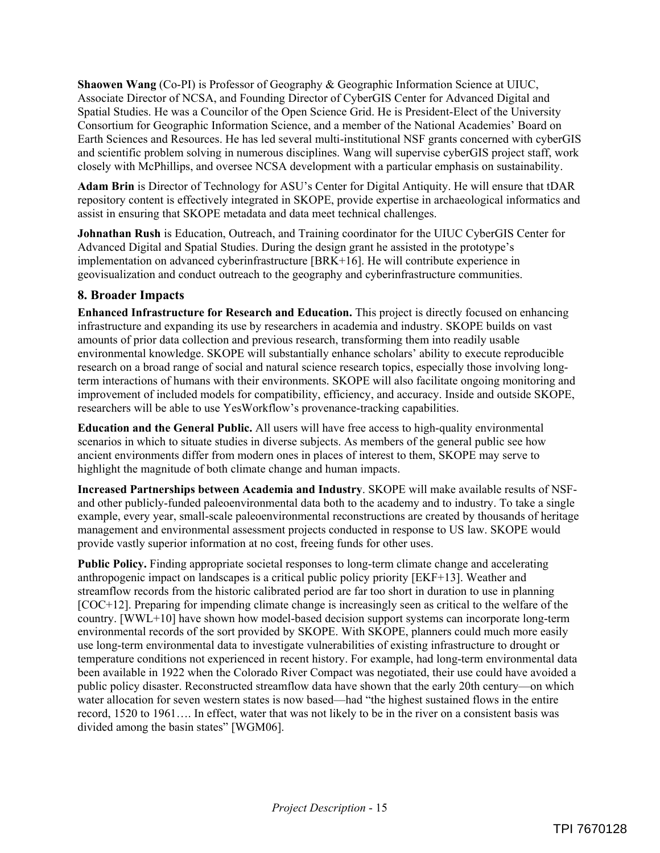**Shaowen Wang** (Co-PI) is Professor of Geography & Geographic Information Science at UIUC, Associate Director of NCSA, and Founding Director of CyberGIS Center for Advanced Digital and Spatial Studies. He was a Councilor of the Open Science Grid. He is President-Elect of the University Consortium for Geographic Information Science, and a member of the National Academies' Board on Earth Sciences and Resources. He has led several multi-institutional NSF grants concerned with cyberGIS and scientific problem solving in numerous disciplines. Wang will supervise cyberGIS project staff, work closely with McPhillips, and oversee NCSA development with a particular emphasis on sustainability.

**Adam Brin** is Director of Technology for ASU's Center for Digital Antiquity. He will ensure that tDAR repository content is effectively integrated in SKOPE, provide expertise in archaeological informatics and assist in ensuring that SKOPE metadata and data meet technical challenges.

**Johnathan Rush** is Education, Outreach, and Training coordinator for the UIUC CyberGIS Center for Advanced Digital and Spatial Studies. During the design grant he assisted in the prototype's implementation on advanced cyberinfrastructure [BRK+16]. He will contribute experience in geovisualization and conduct outreach to the geography and cyberinfrastructure communities.

## **8. Broader Impacts**

**Enhanced Infrastructure for Research and Education.** This project is directly focused on enhancing infrastructure and expanding its use by researchers in academia and industry. SKOPE builds on vast amounts of prior data collection and previous research, transforming them into readily usable environmental knowledge. SKOPE will substantially enhance scholars' ability to execute reproducible research on a broad range of social and natural science research topics, especially those involving longterm interactions of humans with their environments. SKOPE will also facilitate ongoing monitoring and improvement of included models for compatibility, efficiency, and accuracy. Inside and outside SKOPE, researchers will be able to use YesWorkflow's provenance-tracking capabilities.

**Education and the General Public.** All users will have free access to high-quality environmental scenarios in which to situate studies in diverse subjects. As members of the general public see how ancient environments differ from modern ones in places of interest to them, SKOPE may serve to highlight the magnitude of both climate change and human impacts.

**Increased Partnerships between Academia and Industry**. SKOPE will make available results of NSFand other publicly-funded paleoenvironmental data both to the academy and to industry. To take a single example, every year, small-scale paleoenvironmental reconstructions are created by thousands of heritage management and environmental assessment projects conducted in response to US law. SKOPE would provide vastly superior information at no cost, freeing funds for other uses.

**Public Policy.** Finding appropriate societal responses to long-term climate change and accelerating anthropogenic impact on landscapes is a critical public policy priority [EKF+13]. Weather and streamflow records from the historic calibrated period are far too short in duration to use in planning [COC+12]. Preparing for impending climate change is increasingly seen as critical to the welfare of the country. [WWL+10] have shown how model-based decision support systems can incorporate long-term environmental records of the sort provided by SKOPE. With SKOPE, planners could much more easily use long-term environmental data to investigate vulnerabilities of existing infrastructure to drought or temperature conditions not experienced in recent history. For example, had long-term environmental data been available in 1922 when the Colorado River Compact was negotiated, their use could have avoided a public policy disaster. Reconstructed streamflow data have shown that the early 20th century—on which water allocation for seven western states is now based—had "the highest sustained flows in the entire record, 1520 to 1961…. In effect, water that was not likely to be in the river on a consistent basis was divided among the basin states" [WGM06].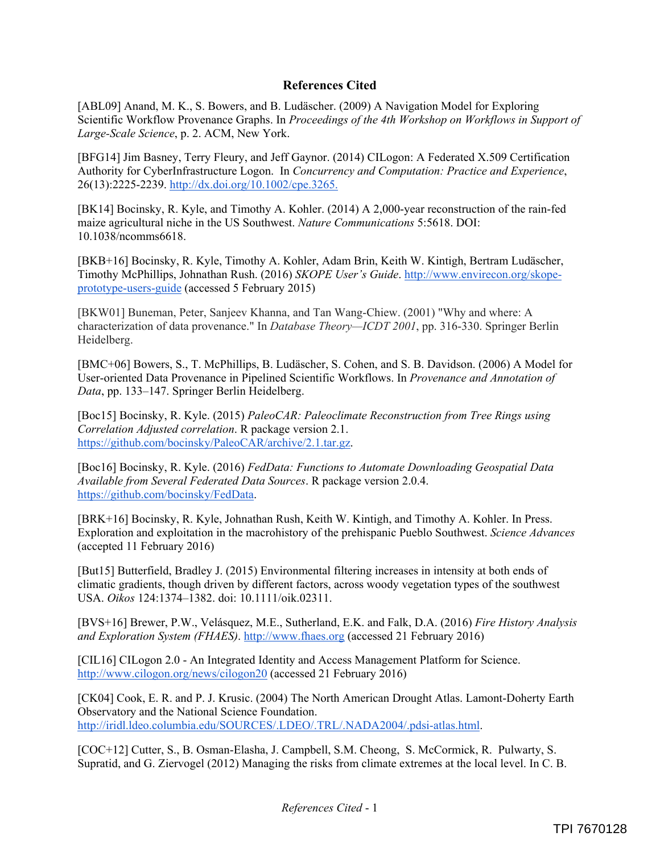### **References Cited**

[ABL09] Anand, M. K., S. Bowers, and B. Ludäscher. (2009) A Navigation Model for Exploring Scientific Workflow Provenance Graphs. In *Proceedings of the 4th Workshop on Workflows in Support of Large-Scale Science*, p. 2. ACM, New York.

[BFG14] Jim Basney, Terry Fleury, and Jeff Gaynor. (2014) CILogon: A Federated X.509 Certification Authority for CyberInfrastructure Logon. In *Concurrency and Computation: Practice and Experience*, 26(13):2225-2239. http://dx.doi.org/10.1002/cpe.3265.

[BK14] Bocinsky, R. Kyle, and Timothy A. Kohler. (2014) A 2,000-year reconstruction of the rain-fed maize agricultural niche in the US Southwest. *Nature Communications* 5:5618. DOI: 10.1038/ncomms6618.

[BKB+16] Bocinsky, R. Kyle, Timothy A. Kohler, Adam Brin, Keith W. Kintigh, Bertram Ludäscher, Timothy McPhillips, Johnathan Rush. (2016) *SKOPE User's Guide*. http://www.envirecon.org/skopeprototype-users-guide (accessed 5 February 2015)

[BKW01] Buneman, Peter, Sanjeev Khanna, and Tan Wang-Chiew. (2001) "Why and where: A characterization of data provenance." In *Database Theory—ICDT 2001*, pp. 316-330. Springer Berlin Heidelberg.

[BMC+06] Bowers, S., T. McPhillips, B. Ludäscher, S. Cohen, and S. B. Davidson. (2006) A Model for User-oriented Data Provenance in Pipelined Scientific Workflows. In *Provenance and Annotation of Data*, pp. 133–147. Springer Berlin Heidelberg.

[Boc15] Bocinsky, R. Kyle. (2015) *PaleoCAR: Paleoclimate Reconstruction from Tree Rings using Correlation Adjusted correlation*. R package version 2.1. https://github.com/bocinsky/PaleoCAR/archive/2.1.tar.gz.

[Boc16] Bocinsky, R. Kyle. (2016) *FedData: Functions to Automate Downloading Geospatial Data Available from Several Federated Data Sources*. R package version 2.0.4. https://github.com/bocinsky/FedData.

[BRK+16] Bocinsky, R. Kyle, Johnathan Rush, Keith W. Kintigh, and Timothy A. Kohler. In Press. Exploration and exploitation in the macrohistory of the prehispanic Pueblo Southwest. *Science Advances*  (accepted 11 February 2016)

[But15] Butterfield, Bradley J. (2015) Environmental filtering increases in intensity at both ends of climatic gradients, though driven by different factors, across woody vegetation types of the southwest USA. *Oikos* 124:1374–1382. doi: 10.1111/oik.02311.

[BVS+16] Brewer, P.W., Velásquez, M.E., Sutherland, E.K. and Falk, D.A. (2016) *Fire History Analysis and Exploration System (FHAES)*. http://www.fhaes.org (accessed 21 February 2016)

[CIL16] CILogon 2.0 - An Integrated Identity and Access Management Platform for Science. http://www.cilogon.org/news/cilogon20 (accessed 21 February 2016)

[CK04] Cook, E. R. and P. J. Krusic. (2004) The North American Drought Atlas. Lamont-Doherty Earth Observatory and the National Science Foundation. http://iridl.ldeo.columbia.edu/SOURCES/.LDEO/.TRL/.NADA2004/.pdsi-atlas.html.

[COC+12] Cutter, S., B. Osman-Elasha, J. Campbell, S.M. Cheong, S. McCormick, R. Pulwarty, S. Supratid, and G. Ziervogel (2012) Managing the risks from climate extremes at the local level. In C. B.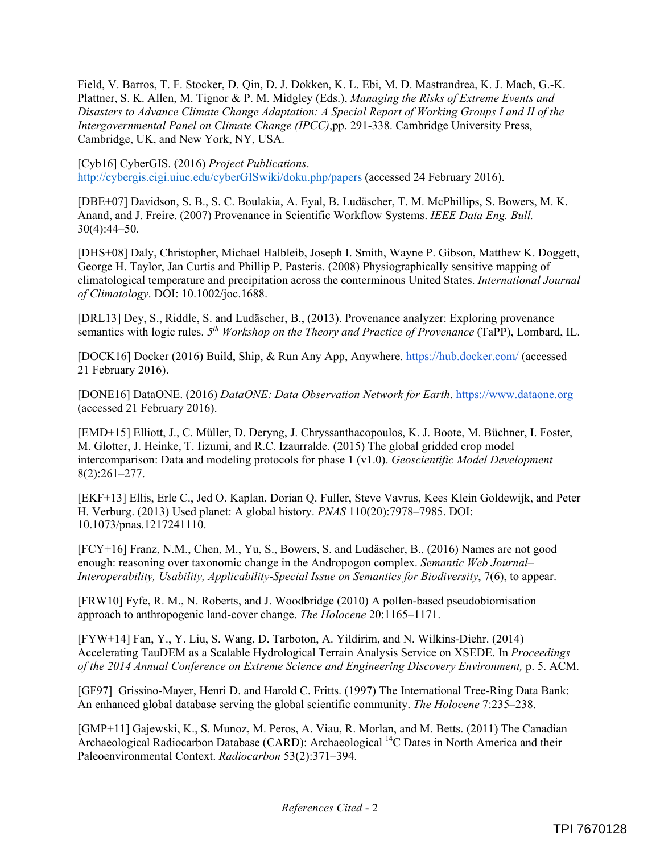Field, V. Barros, T. F. Stocker, D. Qin, D. J. Dokken, K. L. Ebi, M. D. Mastrandrea, K. J. Mach, G.-K. Plattner, S. K. Allen, M. Tignor & P. M. Midgley (Eds.), *Managing the Risks of Extreme Events and Disasters to Advance Climate Change Adaptation: A Special Report of Working Groups I and II of the Intergovernmental Panel on Climate Change (IPCC)*,pp. 291-338. Cambridge University Press, Cambridge, UK, and New York, NY, USA.

[Cyb16] CyberGIS. (2016) *Project Publications*. http://cybergis.cigi.uiuc.edu/cyberGISwiki/doku.php/papers (accessed 24 February 2016).

[DBE+07] Davidson, S. B., S. C. Boulakia, A. Eyal, B. Ludäscher, T. M. McPhillips, S. Bowers, M. K. Anand, and J. Freire. (2007) Provenance in Scientific Workflow Systems. *IEEE Data Eng. Bull.* 30(4):44–50.

[DHS+08] Daly, Christopher, Michael Halbleib, Joseph I. Smith, Wayne P. Gibson, Matthew K. Doggett, George H. Taylor, Jan Curtis and Phillip P. Pasteris. (2008) Physiographically sensitive mapping of climatological temperature and precipitation across the conterminous United States. *International Journal of Climatology*. DOI: 10.1002/joc.1688.

[DRL13] Dey, S., Riddle, S. and Ludäscher, B., (2013). Provenance analyzer: Exploring provenance semantics with logic rules. *5th Workshop on the Theory and Practice of Provenance* (TaPP), Lombard, IL.

[DOCK16] Docker (2016) Build, Ship, & Run Any App, Anywhere. https://hub.docker.com/ (accessed 21 February 2016).

[DONE16] DataONE. (2016) *DataONE: Data Observation Network for Earth*. https://www.dataone.org (accessed 21 February 2016).

[EMD+15] Elliott, J., C. Müller, D. Deryng, J. Chryssanthacopoulos, K. J. Boote, M. Büchner, I. Foster, M. Glotter, J. Heinke, T. Iizumi, and R.C. Izaurralde. (2015) The global gridded crop model intercomparison: Data and modeling protocols for phase 1 (v1.0). *Geoscientific Model Development* 8(2):261–277.

[EKF+13] Ellis, Erle C., Jed O. Kaplan, Dorian Q. Fuller, Steve Vavrus, Kees Klein Goldewijk, and Peter H. Verburg. (2013) Used planet: A global history. *PNAS* 110(20):7978–7985. DOI: 10.1073/pnas.1217241110.

[FCY+16] Franz, N.M., Chen, M., Yu, S., Bowers, S. and Ludäscher, B., (2016) Names are not good enough: reasoning over taxonomic change in the Andropogon complex. *Semantic Web Journal– Interoperability, Usability, Applicability-Special Issue on Semantics for Biodiversity*, 7(6), to appear.

[FRW10] Fyfe, R. M., N. Roberts, and J. Woodbridge (2010) A pollen-based pseudobiomisation approach to anthropogenic land-cover change. *The Holocene* 20:1165–1171.

[FYW+14] Fan, Y., Y. Liu, S. Wang, D. Tarboton, A. Yildirim, and N. Wilkins-Diehr. (2014) Accelerating TauDEM as a Scalable Hydrological Terrain Analysis Service on XSEDE. In *Proceedings of the 2014 Annual Conference on Extreme Science and Engineering Discovery Environment,* p. 5. ACM.

[GF97] Grissino-Mayer, Henri D. and Harold C. Fritts. (1997) The International Tree-Ring Data Bank: An enhanced global database serving the global scientific community. *The Holocene* 7:235–238.

[GMP+11] Gajewski, K., S. Munoz, M. Peros, A. Viau, R. Morlan, and M. Betts. (2011) The Canadian Archaeological Radiocarbon Database (CARD): Archaeological <sup>14</sup>C Dates in North America and their Paleoenvironmental Context. *Radiocarbon* 53(2):371–394.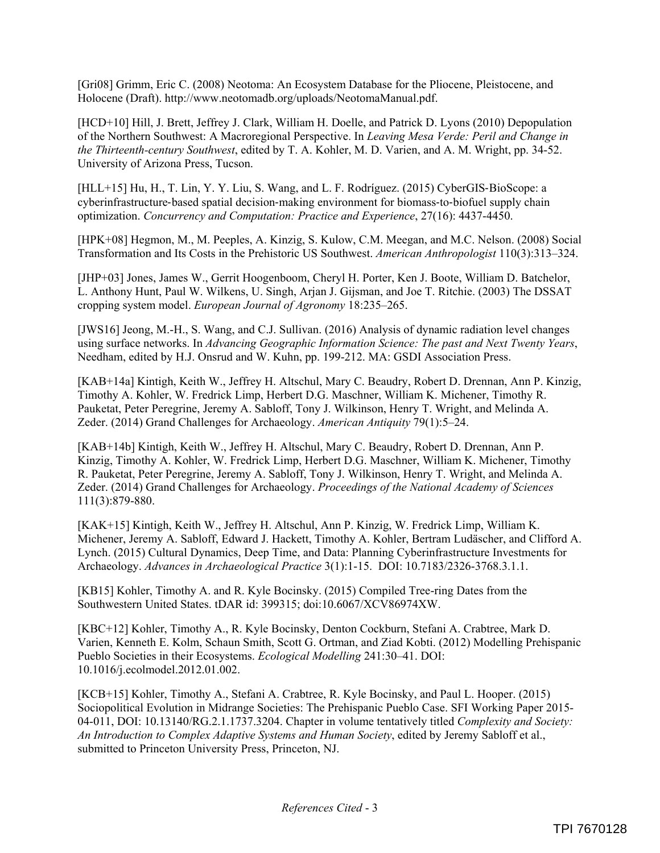[Gri08] Grimm, Eric C. (2008) Neotoma: An Ecosystem Database for the Pliocene, Pleistocene, and Holocene (Draft). http://www.neotomadb.org/uploads/NeotomaManual.pdf.

[HCD+10] Hill, J. Brett, Jeffrey J. Clark, William H. Doelle, and Patrick D. Lyons (2010) Depopulation of the Northern Southwest: A Macroregional Perspective. In *Leaving Mesa Verde: Peril and Change in the Thirteenth-century Southwest*, edited by T. A. Kohler, M. D. Varien, and A. M. Wright, pp. 34-52. University of Arizona Press, Tucson.

[HLL+15] Hu, H., T. Lin, Y. Y. Liu, S. Wang, and L. F. Rodríguez. (2015) CyberGIS-BioScope: a cyberinfrastructure-based spatial decision-making environment for biomass-to-biofuel supply chain optimization. *Concurrency and Computation: Practice and Experience*, 27(16): 4437-4450.

[HPK+08] Hegmon, M., M. Peeples, A. Kinzig, S. Kulow, C.M. Meegan, and M.C. Nelson. (2008) Social Transformation and Its Costs in the Prehistoric US Southwest. *American Anthropologist* 110(3):313–324.

[JHP+03] Jones, James W., Gerrit Hoogenboom, Cheryl H. Porter, Ken J. Boote, William D. Batchelor, L. Anthony Hunt, Paul W. Wilkens, U. Singh, Arjan J. Gijsman, and Joe T. Ritchie. (2003) The DSSAT cropping system model. *European Journal of Agronomy* 18:235–265.

[JWS16] Jeong, M.-H., S. Wang, and C.J. Sullivan. (2016) Analysis of dynamic radiation level changes using surface networks. In *Advancing Geographic Information Science: The past and Next Twenty Years*, Needham, edited by H.J. Onsrud and W. Kuhn, pp. 199-212. MA: GSDI Association Press.

[KAB+14a] Kintigh, Keith W., Jeffrey H. Altschul, Mary C. Beaudry, Robert D. Drennan, Ann P. Kinzig, Timothy A. Kohler, W. Fredrick Limp, Herbert D.G. Maschner, William K. Michener, Timothy R. Pauketat, Peter Peregrine, Jeremy A. Sabloff, Tony J. Wilkinson, Henry T. Wright, and Melinda A. Zeder. (2014) Grand Challenges for Archaeology. *American Antiquity* 79(1):5–24.

[KAB+14b] Kintigh, Keith W., Jeffrey H. Altschul, Mary C. Beaudry, Robert D. Drennan, Ann P. Kinzig, Timothy A. Kohler, W. Fredrick Limp, Herbert D.G. Maschner, William K. Michener, Timothy R. Pauketat, Peter Peregrine, Jeremy A. Sabloff, Tony J. Wilkinson, Henry T. Wright, and Melinda A. Zeder. (2014) Grand Challenges for Archaeology. *Proceedings of the National Academy of Sciences* 111(3):879-880.

[KAK+15] Kintigh, Keith W., Jeffrey H. Altschul, Ann P. Kinzig, W. Fredrick Limp, William K. Michener, Jeremy A. Sabloff, Edward J. Hackett, Timothy A. Kohler, Bertram Ludäscher, and Clifford A. Lynch. (2015) Cultural Dynamics, Deep Time, and Data: Planning Cyberinfrastructure Investments for Archaeology. *Advances in Archaeological Practice* 3(1):1-15. DOI: 10.7183/2326-3768.3.1.1.

[KB15] Kohler, Timothy A. and R. Kyle Bocinsky. (2015) Compiled Tree-ring Dates from the Southwestern United States. tDAR id: 399315; doi:10.6067/XCV86974XW.

[KBC+12] Kohler, Timothy A., R. Kyle Bocinsky, Denton Cockburn, Stefani A. Crabtree, Mark D. Varien, Kenneth E. Kolm, Schaun Smith, Scott G. Ortman, and Ziad Kobti. (2012) Modelling Prehispanic Pueblo Societies in their Ecosystems. *Ecological Modelling* 241:30–41. DOI: 10.1016/j.ecolmodel.2012.01.002.

[KCB+15] Kohler, Timothy A., Stefani A. Crabtree, R. Kyle Bocinsky, and Paul L. Hooper. (2015) Sociopolitical Evolution in Midrange Societies: The Prehispanic Pueblo Case. SFI Working Paper 2015- 04-011, DOI: 10.13140/RG.2.1.1737.3204. Chapter in volume tentatively titled *Complexity and Society: An Introduction to Complex Adaptive Systems and Human Society*, edited by Jeremy Sabloff et al., submitted to Princeton University Press, Princeton, NJ.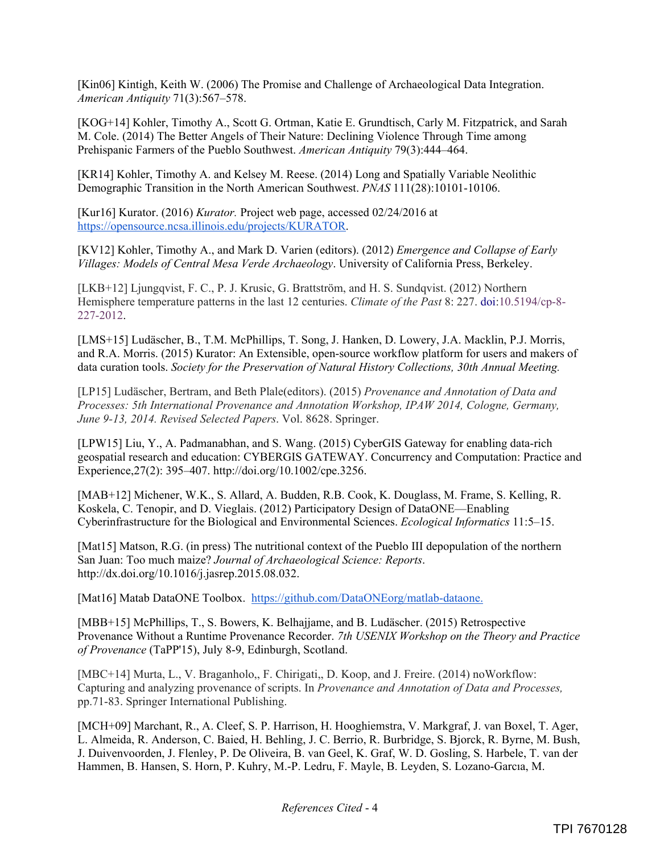[Kin06] Kintigh, Keith W. (2006) The Promise and Challenge of Archaeological Data Integration. *American Antiquity* 71(3):567–578.

[KOG+14] Kohler, Timothy A., Scott G. Ortman, Katie E. Grundtisch, Carly M. Fitzpatrick, and Sarah M. Cole. (2014) The Better Angels of Their Nature: Declining Violence Through Time among Prehispanic Farmers of the Pueblo Southwest. *American Antiquity* 79(3):444–464.

[KR14] Kohler, Timothy A. and Kelsey M. Reese. (2014) Long and Spatially Variable Neolithic Demographic Transition in the North American Southwest. *PNAS* 111(28):10101-10106.

[Kur16] Kurator. (2016) *Kurator.* Project web page, accessed 02/24/2016 at https://opensource.ncsa.illinois.edu/projects/KURATOR.

[KV12] Kohler, Timothy A., and Mark D. Varien (editors). (2012) *Emergence and Collapse of Early Villages: Models of Central Mesa Verde Archaeology*. University of California Press, Berkeley.

[LKB+12] Ljungqvist, F. C., P. J. Krusic, G. Brattström, and H. S. Sundqvist. (2012) Northern Hemisphere temperature patterns in the last 12 centuries. *Climate of the Past* 8: 227. doi:10.5194/cp-8- 227-2012.

[LMS+15] Ludäscher, B., T.M. McPhillips, T. Song, J. Hanken, D. Lowery, J.A. Macklin, P.J. Morris, and R.A. Morris. (2015) Kurator: An Extensible, open-source workflow platform for users and makers of data curation tools. *Society for the Preservation of Natural History Collections, 30th Annual Meeting.*

[LP15] Ludäscher, Bertram, and Beth Plale(editors). (2015) *Provenance and Annotation of Data and Processes: 5th International Provenance and Annotation Workshop, IPAW 2014, Cologne, Germany, June 9-13, 2014. Revised Selected Papers*. Vol. 8628. Springer.

[LPW15] Liu, Y., A. Padmanabhan, and S. Wang. (2015) CyberGIS Gateway for enabling data-rich geospatial research and education: CYBERGIS GATEWAY. Concurrency and Computation: Practice and Experience,27(2): 395–407. http://doi.org/10.1002/cpe.3256.

[MAB+12] Michener, W.K., S. Allard, A. Budden, R.B. Cook, K. Douglass, M. Frame, S. Kelling, R. Koskela, C. Tenopir, and D. Vieglais. (2012) Participatory Design of DataONE—Enabling Cyberinfrastructure for the Biological and Environmental Sciences. *Ecological Informatics* 11:5–15.

[Mat15] Matson, R.G. (in press) The nutritional context of the Pueblo III depopulation of the northern San Juan: Too much maize? *Journal of Archaeological Science: Reports*. http://dx.doi.org/10.1016/j.jasrep.2015.08.032.

[Mat16] Matab DataONE Toolbox. https://github.com/DataONEorg/matlab-dataone.

[MBB+15] McPhillips, T., S. Bowers, K. Belhajjame, and B. Ludäscher. (2015) Retrospective Provenance Without a Runtime Provenance Recorder. *7th USENIX Workshop on the Theory and Practice of Provenance* (TaPP'15), July 8-9, Edinburgh, Scotland.

[MBC+14] Murta, L., V. Braganholo,, F. Chirigati,, D. Koop, and J. Freire. (2014) noWorkflow: Capturing and analyzing provenance of scripts. In *Provenance and Annotation of Data and Processes,* pp.71-83. Springer International Publishing.

[MCH+09] Marchant, R., A. Cleef, S. P. Harrison, H. Hooghiemstra, V. Markgraf, J. van Boxel, T. Ager, L. Almeida, R. Anderson, C. Baied, H. Behling, J. C. Berrio, R. Burbridge, S. Bjorck, R. Byrne, M. Bush, J. Duivenvoorden, J. Flenley, P. De Oliveira, B. van Geel, K. Graf, W. D. Gosling, S. Harbele, T. van der Hammen, B. Hansen, S. Horn, P. Kuhry, M.-P. Ledru, F. Mayle, B. Leyden, S. Lozano-Garcıa, M.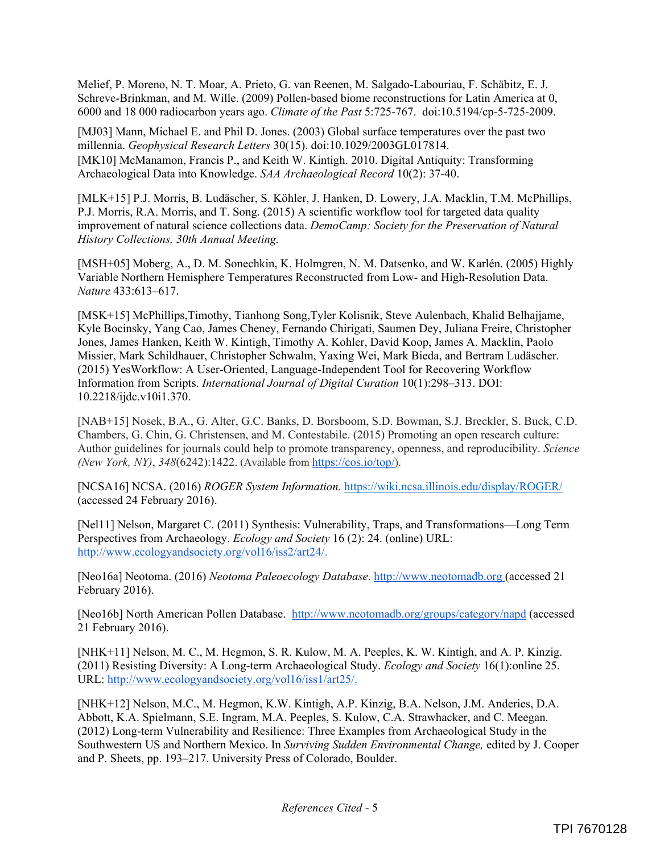Melief, P. Moreno, N. T. Moar, A. Prieto, G. van Reenen, M. Salgado-Labouriau, F. Schäbitz, E. J. Schreve-Brinkman, and M. Wille. (2009) Pollen-based biome reconstructions for Latin America at 0, 6000 and 18 000 radiocarbon years ago. *Climate of the Past* 5:725-767. doi:10.5194/cp-5-725-2009.

[MJ03] Mann, Michael E. and Phil D. Jones. (2003) Global surface temperatures over the past two millennia. *Geophysical Research Letters* 30(15). doi:10.1029/2003GL017814. [MK10] McManamon, Francis P., and Keith W. Kintigh. 2010. Digital Antiquity: Transforming Archaeological Data into Knowledge. *SAA Archaeological Record* 10(2): 37-40.

[MLK+15] P.J. Morris, B. Ludäscher, S. Köhler, J. Hanken, D. Lowery, J.A. Macklin, T.M. McPhillips, P.J. Morris, R.A. Morris, and T. Song. (2015) A scientific workflow tool for targeted data quality improvement of natural science collections data. *DemoCamp: Society for the Preservation of Natural History Collections, 30th Annual Meeting.* 

[MSH+05] Moberg, A., D. M. Sonechkin, K. Holmgren, N. M. Datsenko, and W. Karlén. (2005) Highly Variable Northern Hemisphere Temperatures Reconstructed from Low- and High-Resolution Data. *Nature* 433:613–617.

[MSK+15] McPhillips,Timothy, Tianhong Song,Tyler Kolisnik, Steve Aulenbach, Khalid Belhajjame, Kyle Bocinsky, Yang Cao, James Cheney, Fernando Chirigati, Saumen Dey, Juliana Freire, Christopher Jones, James Hanken, Keith W. Kintigh, Timothy A. Kohler, David Koop, James A. Macklin, Paolo Missier, Mark Schildhauer, Christopher Schwalm, Yaxing Wei, Mark Bieda, and Bertram Ludäscher. (2015) YesWorkflow: A User-Oriented, Language-Independent Tool for Recovering Workflow Information from Scripts. *International Journal of Digital Curation* 10(1):298–313. DOI: 10.2218/ijdc.v10i1.370.

[NAB+15] Nosek, B.A., G. Alter, G.C. Banks, D. Borsboom, S.D. Bowman, S.J. Breckler, S. Buck, C.D. Chambers, G. Chin, G. Christensen, and M. Contestabile. (2015) Promoting an open research culture: Author guidelines for journals could help to promote transparency, openness, and reproducibility. *Science (New York, NY)*, *348*(6242):1422. (Available from https://cos.io/top/).

[NCSA16] NCSA. (2016) *ROGER System Information.* https://wiki.ncsa.illinois.edu/display/ROGER/ (accessed 24 February 2016).

[Nel11] Nelson, Margaret C. (2011) Synthesis: Vulnerability, Traps, and Transformations—Long Term Perspectives from Archaeology. *Ecology and Society* 16 (2): 24. (online) URL: http://www.ecologyandsociety.org/vol16/iss2/art24/.

[Neo16a] Neotoma. (2016) *Neotoma Paleoecology Database*. http://www.neotomadb.org (accessed 21 February 2016).

[Neo16b] North American Pollen Database. http://www.neotomadb.org/groups/category/napd (accessed 21 February 2016).

[NHK+11] Nelson, M. C., M. Hegmon, S. R. Kulow, M. A. Peeples, K. W. Kintigh, and A. P. Kinzig. (2011) Resisting Diversity: A Long-term Archaeological Study. *Ecology and Society* 16(1):online 25. URL: http://www.ecologyandsociety.org/vol16/iss1/art25/.

[NHK+12] Nelson, M.C., M. Hegmon, K.W. Kintigh, A.P. Kinzig, B.A. Nelson, J.M. Anderies, D.A. Abbott, K.A. Spielmann, S.E. Ingram, M.A. Peeples, S. Kulow, C.A. Strawhacker, and C. Meegan. (2012) Long-term Vulnerability and Resilience: Three Examples from Archaeological Study in the Southwestern US and Northern Mexico. In *Surviving Sudden Environmental Change,* edited by J. Cooper and P. Sheets, pp. 193–217. University Press of Colorado, Boulder.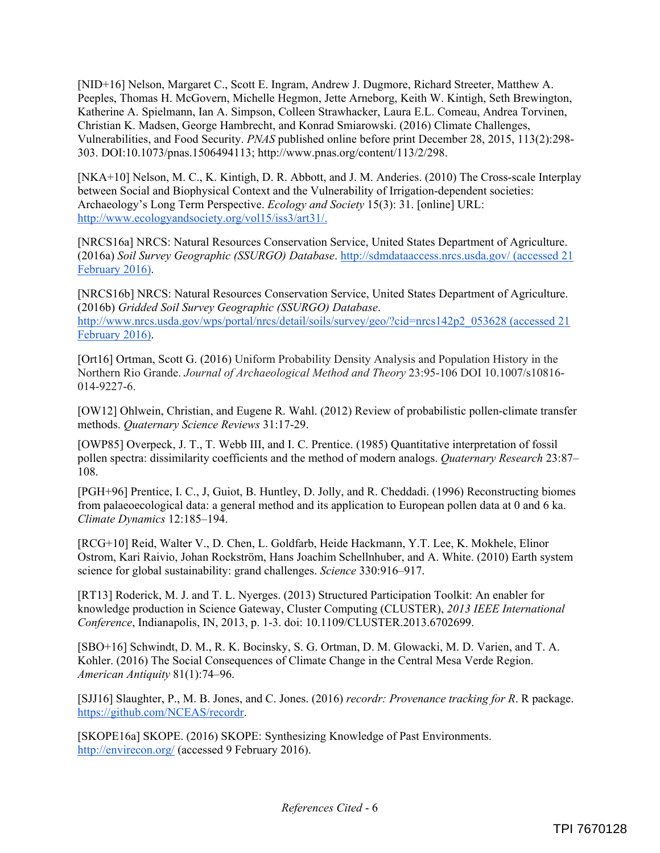[NID+16] Nelson, Margaret C., Scott E. Ingram, Andrew J. Dugmore, Richard Streeter, Matthew A. Peeples, Thomas H. McGovern, Michelle Hegmon, Jette Arneborg, Keith W. Kintigh, Seth Brewington, Katherine A. Spielmann, Ian A. Simpson, Colleen Strawhacker, Laura E.L. Comeau, Andrea Torvinen, Christian K. Madsen, George Hambrecht, and Konrad Smiarowski. (2016) Climate Challenges, Vulnerabilities, and Food Security. *PNAS* published online before print December 28, 2015, 113(2):298- 303. DOI:10.1073/pnas.1506494113; http://www.pnas.org/content/113/2/298.

[NKA+10] Nelson, M. C., K. Kintigh, D. R. Abbott, and J. M. Anderies. (2010) The Cross-scale Interplay between Social and Biophysical Context and the Vulnerability of Irrigation-dependent societies: Archaeology's Long Term Perspective. *Ecology and Society* 15(3): 31. [online] URL: http://www.ecologyandsociety.org/vol15/iss3/art31/.

[NRCS16a] NRCS: Natural Resources Conservation Service, United States Department of Agriculture. (2016a) *Soil Survey Geographic (SSURGO) Database*. http://sdmdataaccess.nrcs.usda.gov/ (accessed 21 February 2016).

[NRCS16b] NRCS: Natural Resources Conservation Service, United States Department of Agriculture. (2016b) *Gridded Soil Survey Geographic (SSURGO) Database*. http://www.nrcs.usda.gov/wps/portal/nrcs/detail/soils/survey/geo/?cid=nrcs142p2\_053628 (accessed 21 February 2016).

[Ort16] Ortman, Scott G. (2016) Uniform Probability Density Analysis and Population History in the Northern Rio Grande. *Journal of Archaeological Method and Theory* 23:95-106 DOI 10.1007/s10816- 014-9227-6.

[OW12] Ohlwein, Christian, and Eugene R. Wahl. (2012) Review of probabilistic pollen-climate transfer methods. *Quaternary Science Reviews* 31:17-29.

[OWP85] Overpeck, J. T., T. Webb III, and I. C. Prentice. (1985) Quantitative interpretation of fossil pollen spectra: dissimilarity coefficients and the method of modern analogs. *Quaternary Research* 23:87– 108.

[PGH+96] Prentice, I. C., J, Guiot, B. Huntley, D. Jolly, and R. Cheddadi. (1996) Reconstructing biomes from palaeoecological data: a general method and its application to European pollen data at 0 and 6 ka. *Climate Dynamics* 12:185–194.

[RCG+10] Reid, Walter V., D. Chen, L. Goldfarb, Heide Hackmann, Y.T. Lee, K. Mokhele, Elinor Ostrom, Kari Raivio, Johan Rockström, Hans Joachim Schellnhuber, and A. White. (2010) Earth system science for global sustainability: grand challenges. *Science* 330:916–917.

[RT13] Roderick, M. J. and T. L. Nyerges. (2013) Structured Participation Toolkit: An enabler for knowledge production in Science Gateway, Cluster Computing (CLUSTER), *2013 IEEE International Conference*, Indianapolis, IN, 2013, p. 1-3. doi: 10.1109/CLUSTER.2013.6702699.

[SBO+16] Schwindt, D. M., R. K. Bocinsky, S. G. Ortman, D. M. Glowacki, M. D. Varien, and T. A. Kohler. (2016) The Social Consequences of Climate Change in the Central Mesa Verde Region. *American Antiquity* 81(1):74–96.

[SJJ16] Slaughter, P., M. B. Jones, and C. Jones. (2016) *recordr: Provenance tracking for R*. R package. https://github.com/NCEAS/recordr.

[SKOPE16a] SKOPE. (2016) SKOPE: Synthesizing Knowledge of Past Environments. http://envirecon.org/ (accessed 9 February 2016).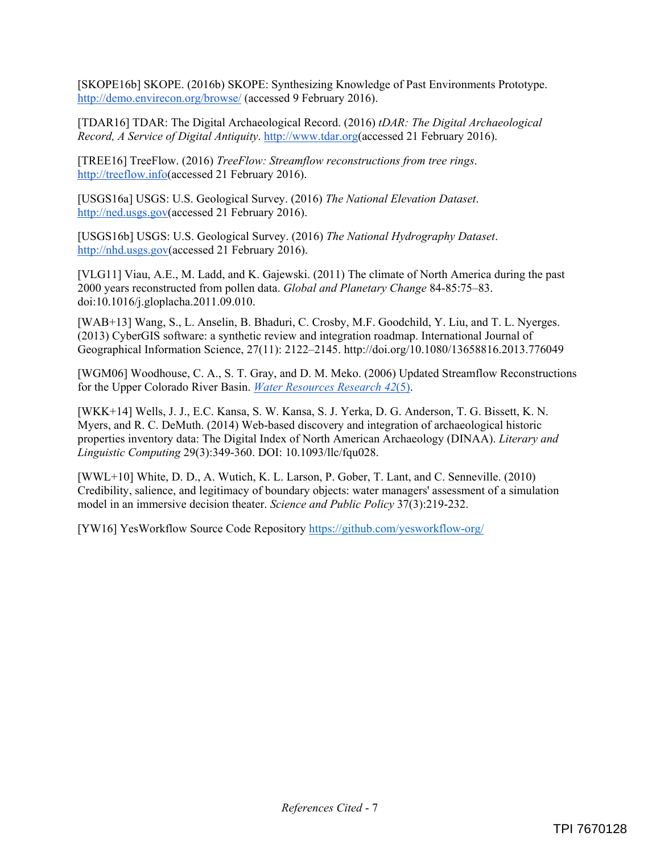[SKOPE16b] SKOPE. (2016b) SKOPE: Synthesizing Knowledge of Past Environments Prototype. http://demo.envirecon.org/browse/ (accessed 9 February 2016).

[TDAR16] TDAR: The Digital Archaeological Record. (2016) *tDAR: The Digital Archaeological Record, A Service of Digital Antiquity*. http://www.tdar.org(accessed 21 February 2016).

[TREE16] TreeFlow. (2016) *TreeFlow: Streamflow reconstructions from tree rings*. http://treeflow.info(accessed 21 February 2016).

[USGS16a] USGS: U.S. Geological Survey. (2016) *The National Elevation Dataset*. http://ned.usgs.gov(accessed 21 February 2016).

[USGS16b] USGS: U.S. Geological Survey. (2016) *The National Hydrography Dataset*. http://nhd.usgs.gov(accessed 21 February 2016).

[VLG11] Viau, A.E., M. Ladd, and K. Gajewski. (2011) The climate of North America during the past 2000 years reconstructed from pollen data. *Global and Planetary Change* 84-85:75–83. doi:10.1016/j.gloplacha.2011.09.010.

[WAB+13] Wang, S., L. Anselin, B. Bhaduri, C. Crosby, M.F. Goodchild, Y. Liu, and T. L. Nyerges. (2013) CyberGIS software: a synthetic review and integration roadmap. International Journal of Geographical Information Science, 27(11): 2122–2145. http://doi.org/10.1080/13658816.2013.776049

[WGM06] Woodhouse, C. A., S. T. Gray, and D. M. Meko. (2006) Updated Streamflow Reconstructions for the Upper Colorado River Basin. *Water Resources Research 42*(5).

[WKK+14] Wells, J. J., E.C. Kansa, S. W. Kansa, S. J. Yerka, D. G. Anderson, T. G. Bissett, K. N. Myers, and R. C. DeMuth. (2014) Web-based discovery and integration of archaeological historic properties inventory data: The Digital Index of North American Archaeology (DINAA). *Literary and Linguistic Computing* 29(3):349-360. DOI: 10.1093/llc/fqu028.

[WWL+10] White, D. D., A. Wutich, K. L. Larson, P. Gober, T. Lant, and C. Senneville. (2010) Credibility, salience, and legitimacy of boundary objects: water managers' assessment of a simulation model in an immersive decision theater. *Science and Public Policy* 37(3):219-232.

[YW16] YesWorkflow Source Code Repository https://github.com/yesworkflow-org/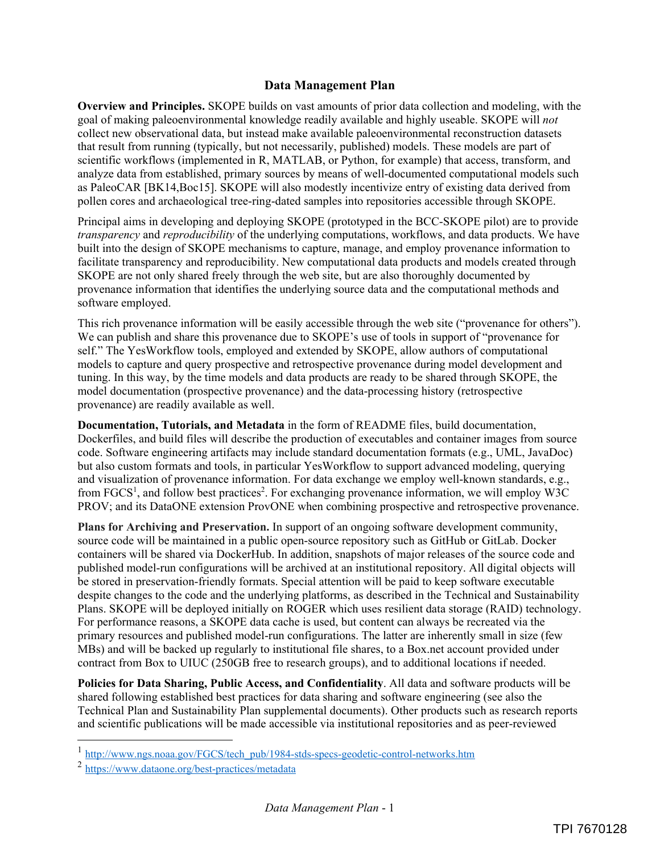#### **Data Management Plan**

**Overview and Principles.** SKOPE builds on vast amounts of prior data collection and modeling, with the goal of making paleoenvironmental knowledge readily available and highly useable. SKOPE will *not* collect new observational data, but instead make available paleoenvironmental reconstruction datasets that result from running (typically, but not necessarily, published) models. These models are part of scientific workflows (implemented in R, MATLAB, or Python, for example) that access, transform, and analyze data from established, primary sources by means of well-documented computational models such as PaleoCAR [BK14,Boc15]. SKOPE will also modestly incentivize entry of existing data derived from pollen cores and archaeological tree-ring-dated samples into repositories accessible through SKOPE.

Principal aims in developing and deploying SKOPE (prototyped in the BCC-SKOPE pilot) are to provide *transparency* and *reproducibility* of the underlying computations, workflows, and data products. We have built into the design of SKOPE mechanisms to capture, manage, and employ provenance information to facilitate transparency and reproducibility. New computational data products and models created through SKOPE are not only shared freely through the web site, but are also thoroughly documented by provenance information that identifies the underlying source data and the computational methods and software employed.

This rich provenance information will be easily accessible through the web site ("provenance for others"). We can publish and share this provenance due to SKOPE's use of tools in support of "provenance for self." The YesWorkflow tools, employed and extended by SKOPE, allow authors of computational models to capture and query prospective and retrospective provenance during model development and tuning. In this way, by the time models and data products are ready to be shared through SKOPE, the model documentation (prospective provenance) and the data-processing history (retrospective provenance) are readily available as well.

**Documentation, Tutorials, and Metadata** in the form of README files, build documentation, Dockerfiles, and build files will describe the production of executables and container images from source code. Software engineering artifacts may include standard documentation formats (e.g., UML, JavaDoc) but also custom formats and tools, in particular YesWorkflow to support advanced modeling, querying and visualization of provenance information. For data exchange we employ well-known standards, e.g., from FGCS<sup>1</sup>, and follow best practices<sup>2</sup>. For exchanging provenance information, we will employ W3C PROV; and its DataONE extension ProvONE when combining prospective and retrospective provenance.

**Plans for Archiving and Preservation.** In support of an ongoing software development community, source code will be maintained in a public open-source repository such as GitHub or GitLab. Docker containers will be shared via DockerHub. In addition, snapshots of major releases of the source code and published model-run configurations will be archived at an institutional repository. All digital objects will be stored in preservation-friendly formats. Special attention will be paid to keep software executable despite changes to the code and the underlying platforms, as described in the Technical and Sustainability Plans. SKOPE will be deployed initially on ROGER which uses resilient data storage (RAID) technology. For performance reasons, a SKOPE data cache is used, but content can always be recreated via the primary resources and published model-run configurations. The latter are inherently small in size (few MBs) and will be backed up regularly to institutional file shares, to a Box.net account provided under contract from Box to UIUC (250GB free to research groups), and to additional locations if needed.

**Policies for Data Sharing, Public Access, and Confidentiality**. All data and software products will be shared following established best practices for data sharing and software engineering (see also the Technical Plan and Sustainability Plan supplemental documents). Other products such as research reports and scientific publications will be made accessible via institutional repositories and as peer-reviewed

1

<sup>&</sup>lt;sup>1</sup> http://www.ngs.noaa.gov/FGCS/tech\_pub/1984-stds-specs-geodetic-control-networks.htm

<sup>2</sup> https://www.dataone.org/best-practices/metadata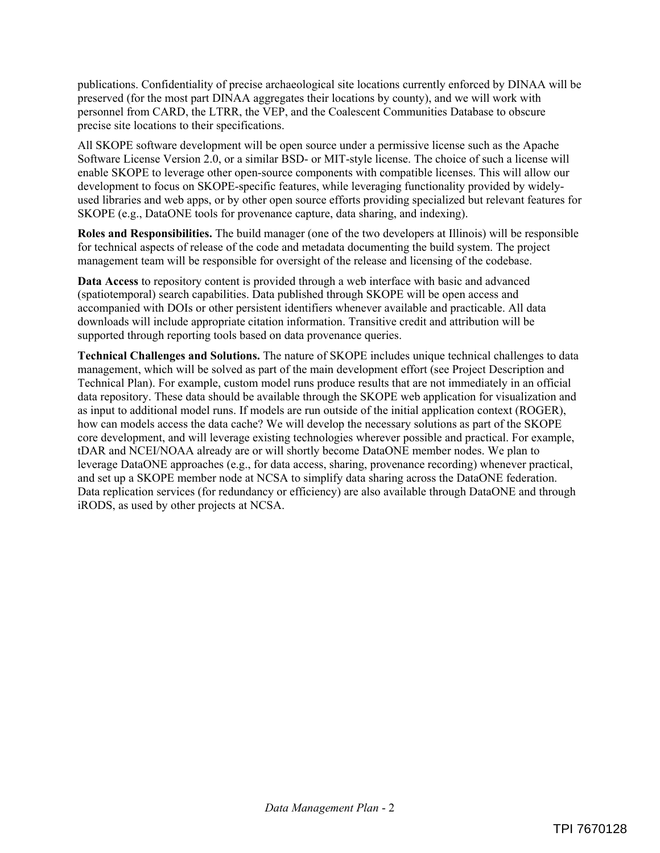publications. Confidentiality of precise archaeological site locations currently enforced by DINAA will be preserved (for the most part DINAA aggregates their locations by county), and we will work with personnel from CARD, the LTRR, the VEP, and the Coalescent Communities Database to obscure precise site locations to their specifications.

All SKOPE software development will be open source under a permissive license such as the Apache Software License Version 2.0, or a similar BSD- or MIT-style license. The choice of such a license will enable SKOPE to leverage other open-source components with compatible licenses. This will allow our development to focus on SKOPE-specific features, while leveraging functionality provided by widelyused libraries and web apps, or by other open source efforts providing specialized but relevant features for SKOPE (e.g., DataONE tools for provenance capture, data sharing, and indexing).

**Roles and Responsibilities.** The build manager (one of the two developers at Illinois) will be responsible for technical aspects of release of the code and metadata documenting the build system. The project management team will be responsible for oversight of the release and licensing of the codebase.

**Data Access** to repository content is provided through a web interface with basic and advanced (spatiotemporal) search capabilities. Data published through SKOPE will be open access and accompanied with DOIs or other persistent identifiers whenever available and practicable. All data downloads will include appropriate citation information. Transitive credit and attribution will be supported through reporting tools based on data provenance queries.

**Technical Challenges and Solutions.** The nature of SKOPE includes unique technical challenges to data management, which will be solved as part of the main development effort (see Project Description and Technical Plan). For example, custom model runs produce results that are not immediately in an official data repository. These data should be available through the SKOPE web application for visualization and as input to additional model runs. If models are run outside of the initial application context (ROGER), how can models access the data cache? We will develop the necessary solutions as part of the SKOPE core development, and will leverage existing technologies wherever possible and practical. For example, tDAR and NCEI/NOAA already are or will shortly become DataONE member nodes. We plan to leverage DataONE approaches (e.g., for data access, sharing, provenance recording) whenever practical, and set up a SKOPE member node at NCSA to simplify data sharing across the DataONE federation. Data replication services (for redundancy or efficiency) are also available through DataONE and through iRODS, as used by other projects at NCSA.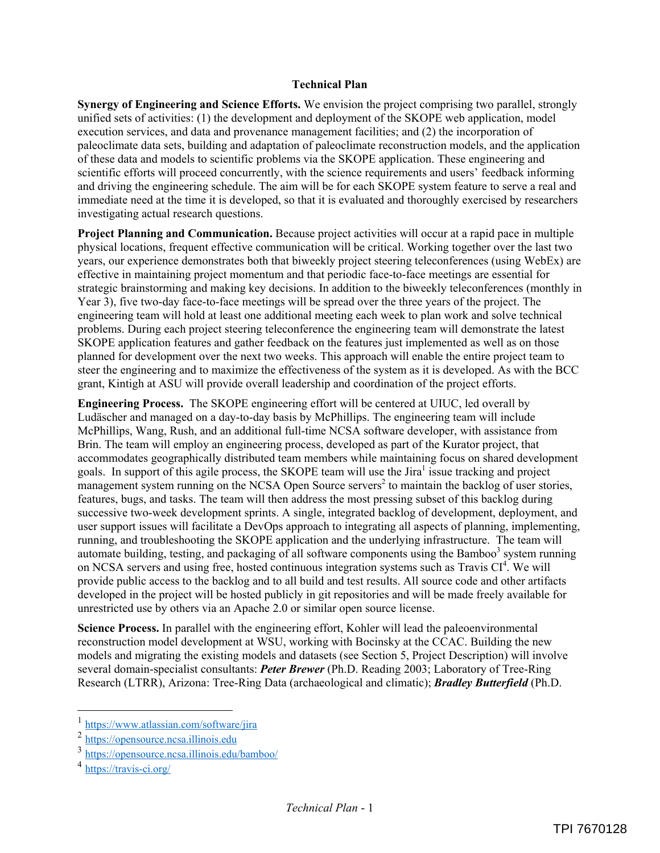#### **Technical Plan**

**Synergy of Engineering and Science Efforts.** We envision the project comprising two parallel, strongly unified sets of activities: (1) the development and deployment of the SKOPE web application, model execution services, and data and provenance management facilities; and (2) the incorporation of paleoclimate data sets, building and adaptation of paleoclimate reconstruction models, and the application of these data and models to scientific problems via the SKOPE application. These engineering and scientific efforts will proceed concurrently, with the science requirements and users' feedback informing and driving the engineering schedule. The aim will be for each SKOPE system feature to serve a real and immediate need at the time it is developed, so that it is evaluated and thoroughly exercised by researchers investigating actual research questions.

**Project Planning and Communication.** Because project activities will occur at a rapid pace in multiple physical locations, frequent effective communication will be critical. Working together over the last two years, our experience demonstrates both that biweekly project steering teleconferences (using WebEx) are effective in maintaining project momentum and that periodic face-to-face meetings are essential for strategic brainstorming and making key decisions. In addition to the biweekly teleconferences (monthly in Year 3), five two-day face-to-face meetings will be spread over the three years of the project. The engineering team will hold at least one additional meeting each week to plan work and solve technical problems. During each project steering teleconference the engineering team will demonstrate the latest SKOPE application features and gather feedback on the features just implemented as well as on those planned for development over the next two weeks. This approach will enable the entire project team to steer the engineering and to maximize the effectiveness of the system as it is developed. As with the BCC grant, Kintigh at ASU will provide overall leadership and coordination of the project efforts.

**Engineering Process.** The SKOPE engineering effort will be centered at UIUC, led overall by Ludäscher and managed on a day-to-day basis by McPhillips. The engineering team will include McPhillips, Wang, Rush, and an additional full-time NCSA software developer, with assistance from Brin. The team will employ an engineering process, developed as part of the Kurator project, that accommodates geographically distributed team members while maintaining focus on shared development goals. In support of this agile process, the SKOPE team will use the Jira<sup>1</sup> issue tracking and project management system running on the NCSA Open Source servers<sup>2</sup> to maintain the backlog of user stories, features, bugs, and tasks. The team will then address the most pressing subset of this backlog during successive two-week development sprints. A single, integrated backlog of development, deployment, and user support issues will facilitate a DevOps approach to integrating all aspects of planning, implementing, running, and troubleshooting the SKOPE application and the underlying infrastructure. The team will automate building, testing, and packaging of all software components using the Bamboo<sup>3</sup> system running on NCSA servers and using free, hosted continuous integration systems such as Travis CI<sup>4</sup>. We will provide public access to the backlog and to all build and test results. All source code and other artifacts developed in the project will be hosted publicly in git repositories and will be made freely available for unrestricted use by others via an Apache 2.0 or similar open source license.

**Science Process.** In parallel with the engineering effort, Kohler will lead the paleoenvironmental reconstruction model development at WSU, working with Bocinsky at the CCAC. Building the new models and migrating the existing models and datasets (see Section 5, Project Description) will involve several domain-specialist consultants: *Peter Brewer* (Ph.D. Reading 2003; Laboratory of Tree-Ring Research (LTRR), Arizona: Tree-Ring Data (archaeological and climatic); *Bradley Butterfield* (Ph.D.

l

<sup>1</sup> https://www.atlassian.com/software/jira

<sup>2</sup> https://opensource.ncsa.illinois.edu

<sup>3</sup> https://opensource.ncsa.illinois.edu/bamboo/

<sup>4</sup> https://travis-ci.org/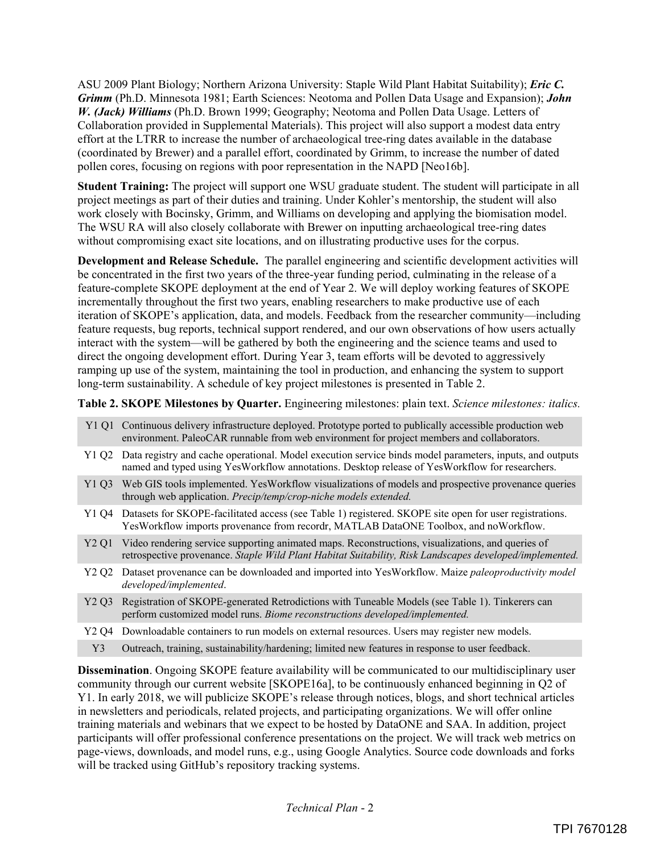ASU 2009 Plant Biology; Northern Arizona University: Staple Wild Plant Habitat Suitability); *Eric C. Grimm* (Ph.D. Minnesota 1981; Earth Sciences: Neotoma and Pollen Data Usage and Expansion); *John W. (Jack) Williams* (Ph.D. Brown 1999; Geography; Neotoma and Pollen Data Usage. Letters of Collaboration provided in Supplemental Materials). This project will also support a modest data entry effort at the LTRR to increase the number of archaeological tree-ring dates available in the database (coordinated by Brewer) and a parallel effort, coordinated by Grimm, to increase the number of dated pollen cores, focusing on regions with poor representation in the NAPD [Neo16b].

**Student Training:** The project will support one WSU graduate student. The student will participate in all project meetings as part of their duties and training. Under Kohler's mentorship, the student will also work closely with Bocinsky, Grimm, and Williams on developing and applying the biomisation model. The WSU RA will also closely collaborate with Brewer on inputting archaeological tree-ring dates without compromising exact site locations, and on illustrating productive uses for the corpus.

**Development and Release Schedule.** The parallel engineering and scientific development activities will be concentrated in the first two years of the three-year funding period, culminating in the release of a feature-complete SKOPE deployment at the end of Year 2. We will deploy working features of SKOPE incrementally throughout the first two years, enabling researchers to make productive use of each iteration of SKOPE's application, data, and models. Feedback from the researcher community—including feature requests, bug reports, technical support rendered, and our own observations of how users actually interact with the system—will be gathered by both the engineering and the science teams and used to direct the ongoing development effort. During Year 3, team efforts will be devoted to aggressively ramping up use of the system, maintaining the tool in production, and enhancing the system to support long-term sustainability. A schedule of key project milestones is presented in Table 2.

**Table 2. SKOPE Milestones by Quarter.** Engineering milestones: plain text. *Science milestones: italics.*

- Y1 Q1 Continuous delivery infrastructure deployed. Prototype ported to publically accessible production web environment. PaleoCAR runnable from web environment for project members and collaborators. Y1 Q2 Data registry and cache operational. Model execution service binds model parameters, inputs, and outputs named and typed using YesWorkflow annotations. Desktop release of YesWorkflow for researchers. Y1 Q3 Web GIS tools implemented. YesWorkflow visualizations of models and prospective provenance queries through web application. *Precip/temp/crop-niche models extended.* Y1 Q4 Datasets for SKOPE-facilitated access (see Table 1) registered. SKOPE site open for user registrations. YesWorkflow imports provenance from recordr, MATLAB DataONE Toolbox, and noWorkflow. Y2 Q1 Video rendering service supporting animated maps. Reconstructions, visualizations, and queries of retrospective provenance. *Staple Wild Plant Habitat Suitability, Risk Landscapes developed/implemented.* Y2 Q2 Dataset provenance can be downloaded and imported into YesWorkflow. Maize *paleoproductivity model developed/implemented*.
- Y2 Q3 Registration of SKOPE-generated Retrodictions with Tuneable Models (see Table 1). Tinkerers can perform customized model runs. *Biome reconstructions developed/implemented.*
- Y2 Q4 Downloadable containers to run models on external resources. Users may register new models.
	- Y3 Outreach, training, sustainability/hardening; limited new features in response to user feedback.

**Dissemination**. Ongoing SKOPE feature availability will be communicated to our multidisciplinary user community through our current website [SKOPE16a], to be continuously enhanced beginning in Q2 of Y1. In early 2018, we will publicize SKOPE's release through notices, blogs, and short technical articles in newsletters and periodicals, related projects, and participating organizations. We will offer online training materials and webinars that we expect to be hosted by DataONE and SAA. In addition, project participants will offer professional conference presentations on the project. We will track web metrics on page-views, downloads, and model runs, e.g., using Google Analytics. Source code downloads and forks will be tracked using GitHub's repository tracking systems.